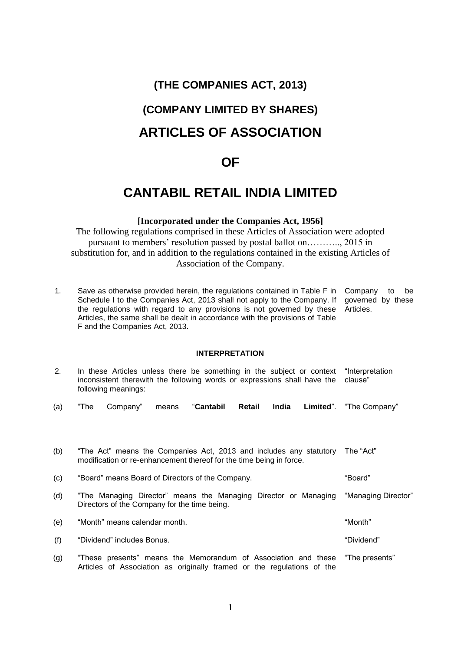# **(THE COMPANIES ACT, 2013)**

# **(COMPANY LIMITED BY SHARES) ARTICLES OF ASSOCIATION**

# **OF**

# **CANTABIL RETAIL INDIA LIMITED**

# **[Incorporated under the Companies Act, 1956]**

The following regulations comprised in these Articles of Association were adopted pursuant to members' resolution passed by postal ballot on……….., 2015 in substitution for, and in addition to the regulations contained in the existing Articles of Association of the Company.

1. Save as otherwise provided herein, the regulations contained in Table F in Company to be Schedule I to the Companies Act, 2013 shall not apply to the Company. If the regulations with regard to any provisions is not governed by these Articles, the same shall be dealt in accordance with the provisions of Table F and the Companies Act, 2013. governed by these Articles.

# **INTERPRETATION**

| 2.  | In these Articles unless there be something in the subject or context<br>inconsistent therewith the following words or expressions shall have the<br>following meanings: | "Interpretation<br>clause" |
|-----|--------------------------------------------------------------------------------------------------------------------------------------------------------------------------|----------------------------|
| (a) | "The<br>Company"<br>"Cantabil<br>Retail<br>India<br>means                                                                                                                | Limited". "The Company"    |
|     |                                                                                                                                                                          |                            |
| (b) | "The Act" means the Companies Act, 2013 and includes any statutory<br>modification or re-enhancement thereof for the time being in force.                                | The "Act"                  |
| (c) | "Board" means Board of Directors of the Company.                                                                                                                         | "Board"                    |
| (d) | "The Managing Director" means the Managing Director or Managing<br>Directors of the Company for the time being.                                                          | "Managing Director"        |
| (e) | "Month" means calendar month.                                                                                                                                            | "Month"                    |
| (f) | "Dividend" includes Bonus.                                                                                                                                               | "Dividend"                 |
| (g) | "These presents" means the Memorandum of Association and these<br>Articles of Association as originally framed or the regulations of the                                 | "The presents"             |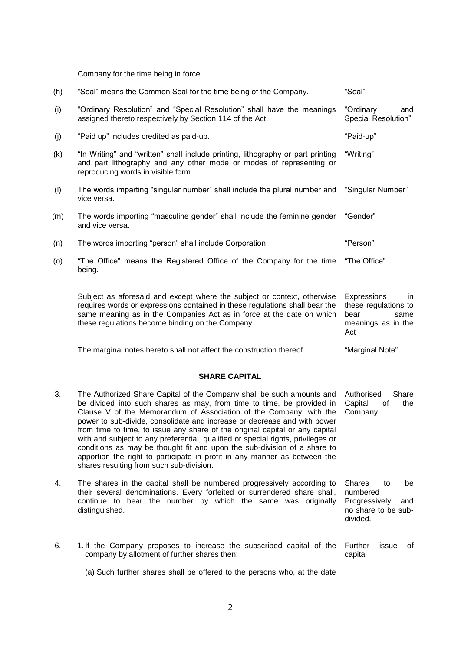Company for the time being in force.

| (h) | "Seal" means the Common Seal for the time being of the Company.                                                                                                                                                                                                                    | "Seal"                                                                                  |
|-----|------------------------------------------------------------------------------------------------------------------------------------------------------------------------------------------------------------------------------------------------------------------------------------|-----------------------------------------------------------------------------------------|
| (i) | "Ordinary Resolution" and "Special Resolution" shall have the meanings<br>assigned thereto respectively by Section 114 of the Act.                                                                                                                                                 | "Ordinary<br>and<br>Special Resolution"                                                 |
| (j) | "Paid up" includes credited as paid-up.                                                                                                                                                                                                                                            | "Paid-up"                                                                               |
| (k) | "In Writing" and "written" shall include printing, lithography or part printing<br>and part lithography and any other mode or modes of representing or<br>reproducing words in visible form.                                                                                       | "Writing"                                                                               |
| (1) | The words imparting "singular number" shall include the plural number and<br>vice versa.                                                                                                                                                                                           | "Singular Number"                                                                       |
| (m) | The words importing "masculine gender" shall include the feminine gender<br>and vice versa.                                                                                                                                                                                        | "Gender"                                                                                |
| (n) | The words importing "person" shall include Corporation.                                                                                                                                                                                                                            | "Person"                                                                                |
| (o) | "The Office" means the Registered Office of the Company for the time<br>being.                                                                                                                                                                                                     | "The Office"                                                                            |
|     | Subject as aforesaid and except where the subject or context, otherwise<br>requires words or expressions contained in these regulations shall bear the<br>same meaning as in the Companies Act as in force at the date on which<br>these regulations become binding on the Company | Expressions<br>in.<br>these regulations to<br>bear<br>same<br>meanings as in the<br>Act |

The marginal notes hereto shall not affect the construction thereof. "Marginal Note"

Further issue of

capital

#### **SHARE CAPITAL**

- 3. The Authorized Share Capital of the Company shall be such amounts and be divided into such shares as may, from time to time, be provided in Clause V of the Memorandum of Association of the Company, with the power to sub-divide, consolidate and increase or decrease and with power from time to time, to issue any share of the original capital or any capital with and subject to any preferential, qualified or special rights, privileges or conditions as may be thought fit and upon the sub-division of a share to apportion the right to participate in profit in any manner as between the shares resulting from such sub-division. Authorised Share Capital of the Company
- 4. The shares in the capital shall be numbered progressively according to their several denominations. Every forfeited or surrendered share shall, continue to bear the number by which the same was originally distinguished. Shares to be numbered Progressively and no share to be subdivided.
- 6. 1. If the Company proposes to increase the subscribed capital of the company by allotment of further shares then:

<sup>(</sup>a) Such further shares shall be offered to the persons who, at the date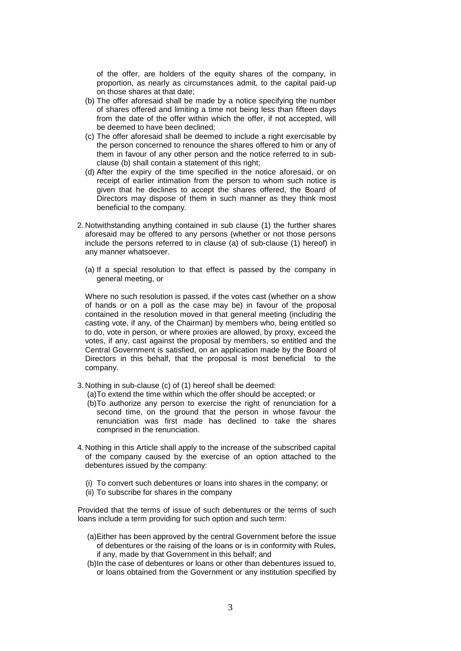of the offer, are holders of the equity shares of the company, in proportion, as nearly as circumstances admit, to the capital paid-up on those shares at that date;

- (b) The offer aforesaid shall be made by a notice specifying the number of shares offered and limiting a time not being less than fifteen days from the date of the offer within which the offer, if not accepted, will be deemed to have been declined;
- (c) The offer aforesaid shall be deemed to include a right exercisable by the person concerned to renounce the shares offered to him or any of them in favour of any other person and the notice referred to in subclause (b) shall contain a statement of this right;
- (d) After the expiry of the time specified in the notice aforesaid, or on receipt of earlier intimation from the person to whom such notice is given that he declines to accept the shares offered, the Board of Directors may dispose of them in such manner as they think most beneficial to the company.
- 2. Notwithstanding anything contained in sub clause (1) the further shares aforesaid may be offered to any persons (whether or not those persons include the persons referred to in clause (a) of sub-clause (1) hereof) in any manner whatsoever.
	- (a) If a special resolution to that effect is passed by the company in general meeting, or

Where no such resolution is passed, if the votes cast (whether on a show of hands or on a poll as the case may be) in favour of the proposal contained in the resolution moved in that general meeting (including the casting vote, if any, of the Chairman) by members who, being entitled so to do, vote in person, or where proxies are allowed, by proxy, exceed the votes, if any, cast against the proposal by members, so entitled and the Central Government is satisfied, on an application made by the Board of Directors in this behalf, that the proposal is most beneficial to the company.

- 3. Nothing in sub-clause (c) of (1) hereof shall be deemed:
	- (a)To extend the time within which the offer should be accepted; or
	- (b)To authorize any person to exercise the right of renunciation for a second time, on the ground that the person in whose favour the renunciation was first made has declined to take the shares comprised in the renunciation.
- 4. Nothing in this Article shall apply to the increase of the subscribed capital of the company caused by the exercise of an option attached to the debentures issued by the company:
	- (i) To convert such debentures or loans into shares in the company; or
	- (ii) To subscribe for shares in the company

Provided that the terms of issue of such debentures or the terms of such loans include a term providing for such option and such term:

- (a)Either has been approved by the central Government before the issue of debentures or the raising of the loans or is in conformity with Rules, if any, made by that Government in this behalf; and
- (b)In the case of debentures or loans or other than debentures issued to, or loans obtained from the Government or any institution specified by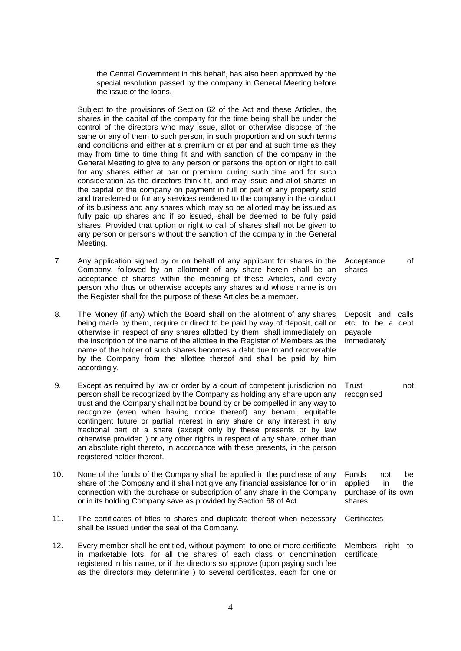the Central Government in this behalf, has also been approved by the special resolution passed by the company in General Meeting before the issue of the loans.

Subject to the provisions of Section 62 of the Act and these Articles, the shares in the capital of the company for the time being shall be under the control of the directors who may issue, allot or otherwise dispose of the same or any of them to such person, in such proportion and on such terms and conditions and either at a premium or at par and at such time as they may from time to time thing fit and with sanction of the company in the General Meeting to give to any person or persons the option or right to call for any shares either at par or premium during such time and for such consideration as the directors think fit, and may issue and allot shares in the capital of the company on payment in full or part of any property sold and transferred or for any services rendered to the company in the conduct of its business and any shares which may so be allotted may be issued as fully paid up shares and if so issued, shall be deemed to be fully paid shares. Provided that option or right to call of shares shall not be given to any person or persons without the sanction of the company in the General Meeting.

7. Any application signed by or on behalf of any applicant for shares in the Company, followed by an allotment of any share herein shall be an acceptance of shares within the meaning of these Articles, and every person who thus or otherwise accepts any shares and whose name is on the Register shall for the purpose of these Articles be a member. Acceptance of shares

> Deposit and calls etc. to be a debt

payable immediately

- 8. The Money (if any) which the Board shall on the allotment of any shares being made by them, require or direct to be paid by way of deposit, call or otherwise in respect of any shares allotted by them, shall immediately on the inscription of the name of the allottee in the Register of Members as the name of the holder of such shares becomes a debt due to and recoverable by the Company from the allottee thereof and shall be paid by him accordingly.
- 9. Except as required by law or order by a court of competent jurisdiction no person shall be recognized by the Company as holding any share upon any trust and the Company shall not be bound by or be compelled in any way to recognize (even when having notice thereof) any benami, equitable contingent future or partial interest in any share or any interest in any fractional part of a share (except only by these presents or by law otherwise provided ) or any other rights in respect of any share, other than an absolute right thereto, in accordance with these presents, in the person registered holder thereof. Trust not recognised
- 10. None of the funds of the Company shall be applied in the purchase of any share of the Company and it shall not give any financial assistance for or in connection with the purchase or subscription of any share in the Company or in its holding Company save as provided by Section 68 of Act. Funds not be applied in the purchase of its own shares
- 11. The certificates of titles to shares and duplicate thereof when necessary shall be issued under the seal of the Company. **Certificates**
- 12. Every member shall be entitled, without payment to one or more certificate in marketable lots, for all the shares of each class or denomination registered in his name, or if the directors so approve (upon paying such fee as the directors may determine ) to several certificates, each for one or Members right to certificate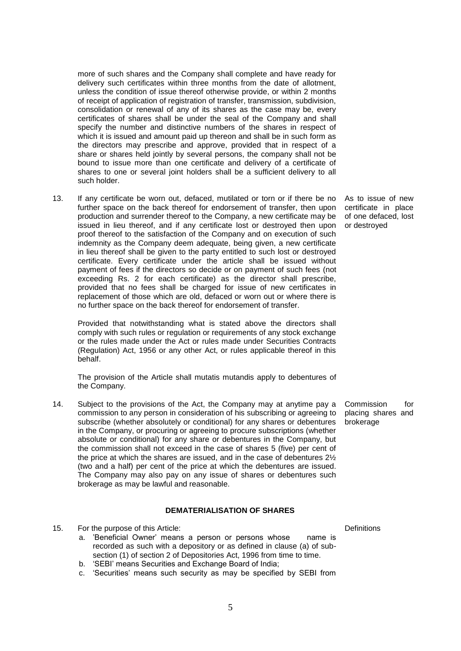more of such shares and the Company shall complete and have ready for delivery such certificates within three months from the date of allotment, unless the condition of issue thereof otherwise provide, or within 2 months of receipt of application of registration of transfer, transmission, subdivision, consolidation or renewal of any of its shares as the case may be, every certificates of shares shall be under the seal of the Company and shall specify the number and distinctive numbers of the shares in respect of which it is issued and amount paid up thereon and shall be in such form as the directors may prescribe and approve, provided that in respect of a share or shares held jointly by several persons, the company shall not be bound to issue more than one certificate and delivery of a certificate of shares to one or several joint holders shall be a sufficient delivery to all such holder.

13. If any certificate be worn out, defaced, mutilated or torn or if there be no further space on the back thereof for endorsement of transfer, then upon production and surrender thereof to the Company, a new certificate may be issued in lieu thereof, and if any certificate lost or destroyed then upon proof thereof to the satisfaction of the Company and on execution of such indemnity as the Company deem adequate, being given, a new certificate in lieu thereof shall be given to the party entitled to such lost or destroyed certificate. Every certificate under the article shall be issued without payment of fees if the directors so decide or on payment of such fees (not exceeding Rs. 2 for each certificate) as the director shall prescribe, provided that no fees shall be charged for issue of new certificates in replacement of those which are old, defaced or worn out or where there is no further space on the back thereof for endorsement of transfer.

Provided that notwithstanding what is stated above the directors shall comply with such rules or regulation or requirements of any stock exchange or the rules made under the Act or rules made under Securities Contracts (Regulation) Act, 1956 or any other Act, or rules applicable thereof in this behalf.

The provision of the Article shall mutatis mutandis apply to debentures of the Company.

14. Subject to the provisions of the Act, the Company may at anytime pay a commission to any person in consideration of his subscribing or agreeing to subscribe (whether absolutely or conditional) for any shares or debentures in the Company, or procuring or agreeing to procure subscriptions (whether absolute or conditional) for any share or debentures in the Company, but the commission shall not exceed in the case of shares 5 (five) per cent of the price at which the shares are issued, and in the case of debentures 2½ (two and a half) per cent of the price at which the debentures are issued. The Company may also pay on any issue of shares or debentures such brokerage as may be lawful and reasonable.

#### **DEMATERIALISATION OF SHARES**

15. For the purpose of this Article:

- a. "Beneficial Owner" means a person or persons whose name is recorded as such with a depository or as defined in clause (a) of subsection (1) of section 2 of Depositories Act, 1996 from time to time.
- b. "SEBI" means Securities and Exchange Board of India;
- c. "Securities" means such security as may be specified by SEBI from

As to issue of new certificate in place of one defaced, lost or destroyed

Commission for placing shares and brokerage

**Definitions**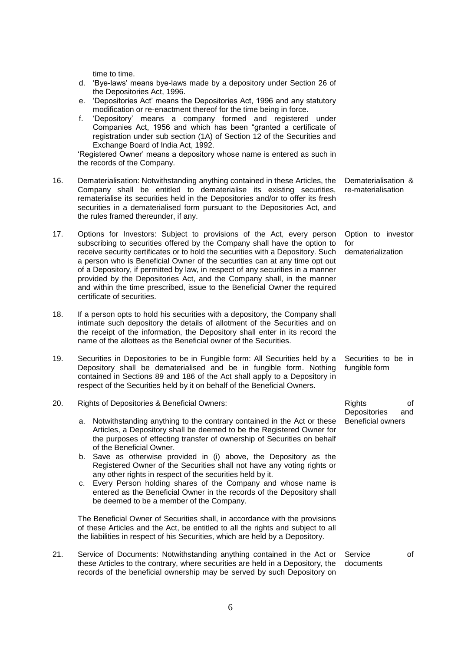time to time.

- d. "Bye-laws" means bye-laws made by a depository under Section 26 of the Depositories Act, 1996.
- e. "Depositories Act" means the Depositories Act, 1996 and any statutory modification or re-enactment thereof for the time being in force.
- f. "Depository" means a company formed and registered under Companies Act, 1956 and which has been "granted a certificate of registration under sub section (1A) of Section 12 of the Securities and Exchange Board of India Act, 1992.

"Registered Owner" means a depository whose name is entered as such in the records of the Company.

- 16. Dematerialisation: Notwithstanding anything contained in these Articles, the Company shall be entitled to dematerialise its existing securities, rematerialise its securities held in the Depositories and/or to offer its fresh securities in a dematerialised form pursuant to the Depositories Act, and the rules framed thereunder, if any.
- 17. Options for Investors: Subject to provisions of the Act, every person subscribing to securities offered by the Company shall have the option to receive security certificates or to hold the securities with a Depository. Such a person who is Beneficial Owner of the securities can at any time opt out of a Depository, if permitted by law, in respect of any securities in a manner provided by the Depositories Act, and the Company shall, in the manner and within the time prescribed, issue to the Beneficial Owner the required certificate of securities.
- 18. If a person opts to hold his securities with a depository, the Company shall intimate such depository the details of allotment of the Securities and on the receipt of the information, the Depository shall enter in its record the name of the allottees as the Beneficial owner of the Securities.
- 19. Securities in Depositories to be in Fungible form: All Securities held by a Depository shall be dematerialised and be in fungible form. Nothing contained in Sections 89 and 186 of the Act shall apply to a Depository in respect of the Securities held by it on behalf of the Beneficial Owners.
- 20. Rights of Depositories & Beneficial Owners:
	- a. Notwithstanding anything to the contrary contained in the Act or these Articles, a Depository shall be deemed to be the Registered Owner for the purposes of effecting transfer of ownership of Securities on behalf of the Beneficial Owner.
	- b. Save as otherwise provided in (i) above, the Depository as the Registered Owner of the Securities shall not have any voting rights or any other rights in respect of the securities held by it.
	- c. Every Person holding shares of the Company and whose name is entered as the Beneficial Owner in the records of the Depository shall be deemed to be a member of the Company.

The Beneficial Owner of Securities shall, in accordance with the provisions of these Articles and the Act, be entitled to all the rights and subject to all the liabilities in respect of his Securities, which are held by a Depository.

21. Service of Documents: Notwithstanding anything contained in the Act or these Articles to the contrary, where securities are held in a Depository, the records of the beneficial ownership may be served by such Depository on Service of documents

Dematerialisation & re-materialisation

Option to investor for dematerialization

Securities to be in fungible form

Rights of Depositories and Beneficial owners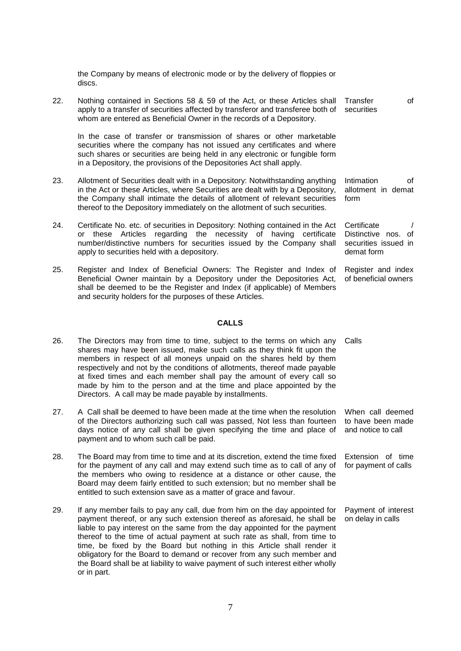the Company by means of electronic mode or by the delivery of floppies or discs.

22. Nothing contained in Sections 58 & 59 of the Act, or these Articles shall apply to a transfer of securities affected by transferor and transferee both of whom are entered as Beneficial Owner in the records of a Depository. Transfer of securities

In the case of transfer or transmission of shares or other marketable securities where the company has not issued any certificates and where such shares or securities are being held in any electronic or fungible form in a Depository, the provisions of the Depositories Act shall apply.

- 23. Allotment of Securities dealt with in a Depository: Notwithstanding anything in the Act or these Articles, where Securities are dealt with by a Depository, the Company shall intimate the details of allotment of relevant securities thereof to the Depository immediately on the allotment of such securities. form
- 24. Certificate No. etc. of securities in Depository: Nothing contained in the Act or these Articles regarding the necessity of having certificate number/distinctive numbers for securities issued by the Company shall apply to securities held with a depository.
- 25. Register and Index of Beneficial Owners: The Register and Index of Beneficial Owner maintain by a Depository under the Depositories Act, shall be deemed to be the Register and Index (if applicable) of Members and security holders for the purposes of these Articles.

#### **CALLS**

- 26. The Directors may from time to time, subject to the terms on which any shares may have been issued, make such calls as they think fit upon the members in respect of all moneys unpaid on the shares held by them respectively and not by the conditions of allotments, thereof made payable at fixed times and each member shall pay the amount of every call so made by him to the person and at the time and place appointed by the Directors. A call may be made payable by installments.
- 27. A Call shall be deemed to have been made at the time when the resolution of the Directors authorizing such call was passed, Not less than fourteen days notice of any call shall be given specifying the time and place of payment and to whom such call be paid.
- 28. The Board may from time to time and at its discretion, extend the time fixed for the payment of any call and may extend such time as to call of any of the members who owing to residence at a distance or other cause, the Board may deem fairly entitled to such extension; but no member shall be entitled to such extension save as a matter of grace and favour.
- 29. If any member fails to pay any call, due from him on the day appointed for payment thereof, or any such extension thereof as aforesaid, he shall be liable to pay interest on the same from the day appointed for the payment thereof to the time of actual payment at such rate as shall, from time to time, be fixed by the Board but nothing in this Article shall render it obligatory for the Board to demand or recover from any such member and the Board shall be at liability to waive payment of such interest either wholly or in part.

Intimation of allotment in demat

**Certificate** Distinctive nos. of securities issued in demat form

Register and index of beneficial owners

Calls

When call deemed to have been made and notice to call

Extension of time for payment of calls

Payment of interest on delay in calls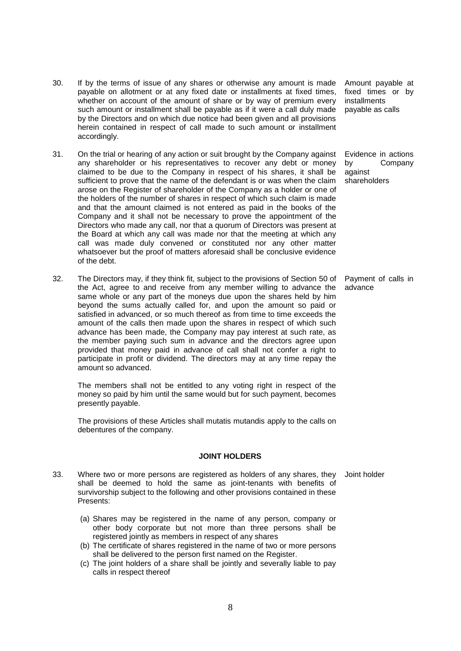- 30. If by the terms of issue of any shares or otherwise any amount is made payable on allotment or at any fixed date or installments at fixed times, whether on account of the amount of share or by way of premium every such amount or installment shall be payable as if it were a call duly made by the Directors and on which due notice had been given and all provisions herein contained in respect of call made to such amount or installment accordingly.
- 31. On the trial or hearing of any action or suit brought by the Company against any shareholder or his representatives to recover any debt or money claimed to be due to the Company in respect of his shares, it shall be sufficient to prove that the name of the defendant is or was when the claim arose on the Register of shareholder of the Company as a holder or one of the holders of the number of shares in respect of which such claim is made and that the amount claimed is not entered as paid in the books of the Company and it shall not be necessary to prove the appointment of the Directors who made any call, nor that a quorum of Directors was present at the Board at which any call was made nor that the meeting at which any call was made duly convened or constituted nor any other matter whatsoever but the proof of matters aforesaid shall be conclusive evidence of the debt.
- 32. The Directors may, if they think fit, subject to the provisions of Section 50 of the Act, agree to and receive from any member willing to advance the same whole or any part of the moneys due upon the shares held by him beyond the sums actually called for, and upon the amount so paid or satisfied in advanced, or so much thereof as from time to time exceeds the amount of the calls then made upon the shares in respect of which such advance has been made, the Company may pay interest at such rate, as the member paying such sum in advance and the directors agree upon provided that money paid in advance of call shall not confer a right to participate in profit or dividend. The directors may at any time repay the amount so advanced.

The members shall not be entitled to any voting right in respect of the money so paid by him until the same would but for such payment, becomes presently payable.

The provisions of these Articles shall mutatis mutandis apply to the calls on debentures of the company.

#### **JOINT HOLDERS**

- 33. Where two or more persons are registered as holders of any shares, they shall be deemed to hold the same as joint-tenants with benefits of survivorship subject to the following and other provisions contained in these Presents:
	- (a) Shares may be registered in the name of any person, company or other body corporate but not more than three persons shall be registered jointly as members in respect of any shares
	- (b) The certificate of shares registered in the name of two or more persons shall be delivered to the person first named on the Register.
	- (c) The joint holders of a share shall be jointly and severally liable to pay calls in respect thereof

Amount payable at fixed times or by installments payable as calls

Evidence in actions by Company against shareholders

Payment of calls in advance

Joint holder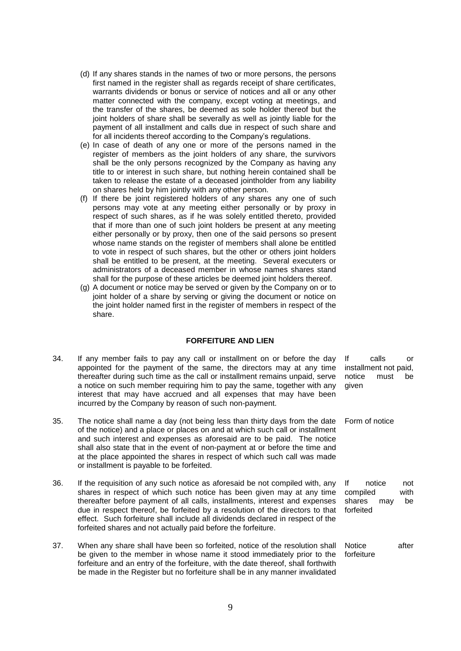- (d) If any shares stands in the names of two or more persons, the persons first named in the register shall as regards receipt of share certificates, warrants dividends or bonus or service of notices and all or any other matter connected with the company, except voting at meetings, and the transfer of the shares, be deemed as sole holder thereof but the joint holders of share shall be severally as well as jointly liable for the payment of all installment and calls due in respect of such share and for all incidents thereof according to the Company"s regulations.
- (e) In case of death of any one or more of the persons named in the register of members as the joint holders of any share, the survivors shall be the only persons recognized by the Company as having any title to or interest in such share, but nothing herein contained shall be taken to release the estate of a deceased jointholder from any liability on shares held by him jointly with any other person.
- (f) If there be joint registered holders of any shares any one of such persons may vote at any meeting either personally or by proxy in respect of such shares, as if he was solely entitled thereto, provided that if more than one of such joint holders be present at any meeting either personally or by proxy, then one of the said persons so present whose name stands on the register of members shall alone be entitled to vote in respect of such shares, but the other or others joint holders shall be entitled to be present, at the meeting. Several executers or administrators of a deceased member in whose names shares stand shall for the purpose of these articles be deemed joint holders thereof.
- (g) A document or notice may be served or given by the Company on or to joint holder of a share by serving or giving the document or notice on the joint holder named first in the register of members in respect of the share.

#### **FORFEITURE AND LIEN**

- 34. If any member fails to pay any call or installment on or before the day appointed for the payment of the same, the directors may at any time thereafter during such time as the call or installment remains unpaid, serve a notice on such member requiring him to pay the same, together with any interest that may have accrued and all expenses that may have been incurred by the Company by reason of such non-payment. If calls or installment not paid, notice must be given
- 35. The notice shall name a day (not being less than thirty days from the date of the notice) and a place or places on and at which such call or installment and such interest and expenses as aforesaid are to be paid. The notice shall also state that in the event of non-payment at or before the time and at the place appointed the shares in respect of which such call was made or installment is payable to be forfeited. Form of notice
- 36. If the requisition of any such notice as aforesaid be not compiled with, any shares in respect of which such notice has been given may at any time thereafter before payment of all calls, installments, interest and expenses due in respect thereof, be forfeited by a resolution of the directors to that effect. Such forfeiture shall include all dividends declared in respect of the forfeited shares and not actually paid before the forfeiture. If notice not compiled with shares may be forfeited
- 37. When any share shall have been so forfeited, notice of the resolution shall be given to the member in whose name it stood immediately prior to the forfeiture and an entry of the forfeiture, with the date thereof, shall forthwith be made in the Register but no forfeiture shall be in any manner invalidated Notice after forfeiture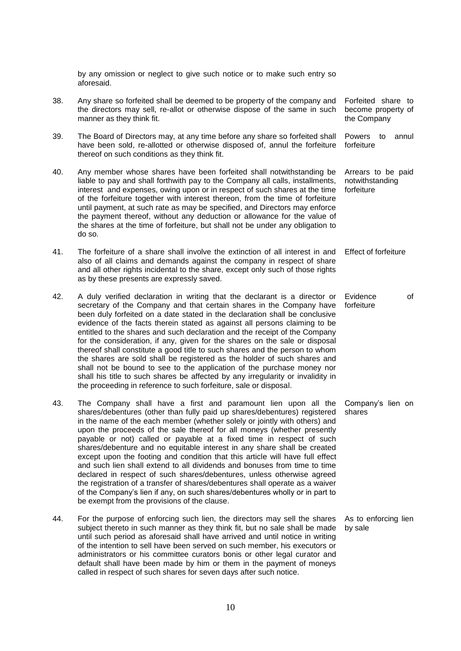by any omission or neglect to give such notice or to make such entry so aforesaid.

- 38. Any share so forfeited shall be deemed to be property of the company and the directors may sell, re-allot or otherwise dispose of the same in such manner as they think fit. Forfeited share to become property of the Company
- 39. The Board of Directors may, at any time before any share so forfeited shall have been sold, re-allotted or otherwise disposed of, annul the forfeiture thereof on such conditions as they think fit. Powers to annul forfeiture
- 40. Any member whose shares have been forfeited shall notwithstanding be liable to pay and shall forthwith pay to the Company all calls, installments, interest and expenses, owing upon or in respect of such shares at the time of the forfeiture together with interest thereon, from the time of forfeiture until payment, at such rate as may be specified, and Directors may enforce the payment thereof, without any deduction or allowance for the value of the shares at the time of forfeiture, but shall not be under any obligation to do so. Arrears to be paid notwithstanding forfeiture
- 41. The forfeiture of a share shall involve the extinction of all interest in and also of all claims and demands against the company in respect of share and all other rights incidental to the share, except only such of those rights as by these presents are expressly saved. Effect of forfeiture
- 42. A duly verified declaration in writing that the declarant is a director or secretary of the Company and that certain shares in the Company have been duly forfeited on a date stated in the declaration shall be conclusive evidence of the facts therein stated as against all persons claiming to be entitled to the shares and such declaration and the receipt of the Company for the consideration, if any, given for the shares on the sale or disposal thereof shall constitute a good title to such shares and the person to whom the shares are sold shall be registered as the holder of such shares and shall not be bound to see to the application of the purchase money nor shall his title to such shares be affected by any irregularity or invalidity in the proceeding in reference to such forfeiture, sale or disposal. forfeiture
- 43. The Company shall have a first and paramount lien upon all the shares/debentures (other than fully paid up shares/debentures) registered in the name of the each member (whether solely or jointly with others) and upon the proceeds of the sale thereof for all moneys (whether presently payable or not) called or payable at a fixed time in respect of such shares/debenture and no equitable interest in any share shall be created except upon the footing and condition that this article will have full effect and such lien shall extend to all dividends and bonuses from time to time declared in respect of such shares/debentures, unless otherwise agreed the registration of a transfer of shares/debentures shall operate as a waiver of the Company"s lien if any, on such shares/debentures wholly or in part to be exempt from the provisions of the clause. shares
- 44. For the purpose of enforcing such lien, the directors may sell the shares subject thereto in such manner as they think fit, but no sale shall be made until such period as aforesaid shall have arrived and until notice in writing of the intention to sell have been served on such member, his executors or administrators or his committee curators bonis or other legal curator and default shall have been made by him or them in the payment of moneys called in respect of such shares for seven days after such notice.

Evidence of

Company"s lien on

As to enforcing lien by sale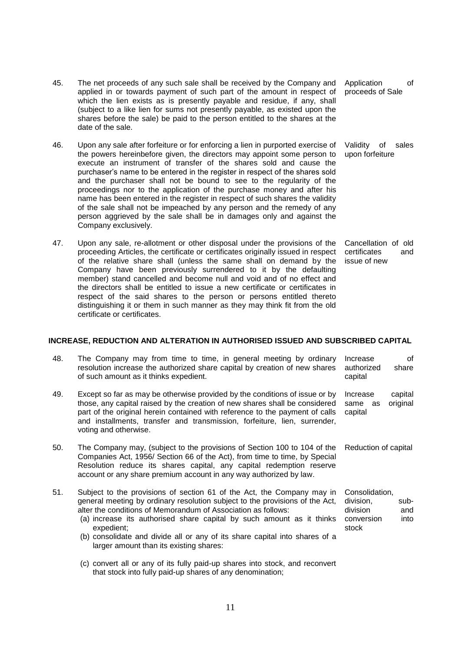- 45. The net proceeds of any such sale shall be received by the Company and applied in or towards payment of such part of the amount in respect of which the lien exists as is presently payable and residue, if any, shall (subject to a like lien for sums not presently payable, as existed upon the shares before the sale) be paid to the person entitled to the shares at the date of the sale.
- 46. Upon any sale after forfeiture or for enforcing a lien in purported exercise of the powers hereinbefore given, the directors may appoint some person to execute an instrument of transfer of the shares sold and cause the purchaser"s name to be entered in the register in respect of the shares sold and the purchaser shall not be bound to see to the regularity of the proceedings nor to the application of the purchase money and after his name has been entered in the register in respect of such shares the validity of the sale shall not be impeached by any person and the remedy of any person aggrieved by the sale shall be in damages only and against the Company exclusively.
- 47. Upon any sale, re-allotment or other disposal under the provisions of the proceeding Articles, the certificate or certificates originally issued in respect of the relative share shall (unless the same shall on demand by the Company have been previously surrendered to it by the defaulting member) stand cancelled and become null and void and of no effect and the directors shall be entitled to issue a new certificate or certificates in respect of the said shares to the person or persons entitled thereto distinguishing it or them in such manner as they may think fit from the old certificate or certificates.

#### **INCREASE, REDUCTION AND ALTERATION IN AUTHORISED ISSUED AND SUBSCRIBED CAPITAL**

| 48. | The Company may from time to time, in general meeting by ordinary<br>resolution increase the authorized share capital by creation of new shares<br>of such amount as it thinks expedient.                                                                                                                                                                                                                                                | Increase<br>authorized<br>capital                              | of<br>share         |
|-----|------------------------------------------------------------------------------------------------------------------------------------------------------------------------------------------------------------------------------------------------------------------------------------------------------------------------------------------------------------------------------------------------------------------------------------------|----------------------------------------------------------------|---------------------|
| 49. | Except so far as may be otherwise provided by the conditions of issue or by<br>those, any capital raised by the creation of new shares shall be considered<br>part of the original herein contained with reference to the payment of calls<br>and installments, transfer and transmission, forfeiture, lien, surrender,<br>voting and otherwise.                                                                                         | Increase<br>same<br>as<br>capital                              | capital<br>original |
| 50. | The Company may, (subject to the provisions of Section 100 to 104 of the<br>Companies Act, 1956/ Section 66 of the Act), from time to time, by Special<br>Resolution reduce its shares capital, any capital redemption reserve<br>account or any share premium account in any way authorized by law.                                                                                                                                     | Reduction of capital                                           |                     |
| 51. | Subject to the provisions of section 61 of the Act, the Company may in<br>general meeting by ordinary resolution subject to the provisions of the Act,<br>alter the conditions of Memorandum of Association as follows:<br>(a) increase its authorised share capital by such amount as it thinks<br>expedient;<br>(b) consolidate and divide all or any of its share capital into shares of a<br>larger amount than its existing shares: | Consolidation,<br>division,<br>division<br>conversion<br>stock | sub-<br>and<br>into |
|     | (c) convert all or any of its fully paid-up shares into stock, and reconvert<br>that stock into fully paid-up shares of any denomination;                                                                                                                                                                                                                                                                                                |                                                                |                     |

Application of proceeds of Sale

Validity of sales upon forfeiture

Cancellation of old certificates and issue of new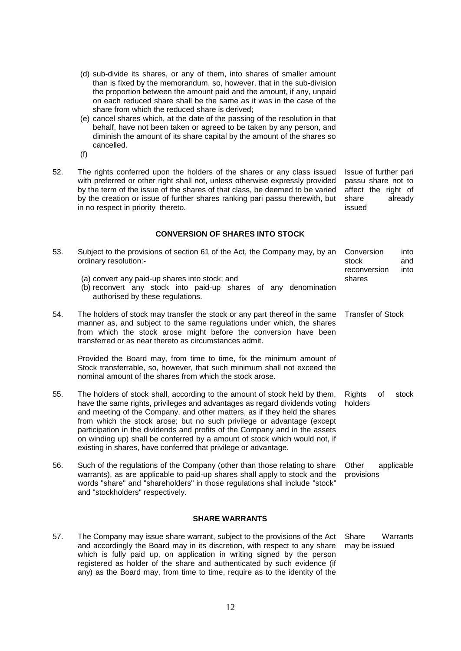- (d) sub-divide its shares, or any of them, into shares of smaller amount than is fixed by the memorandum, so, however, that in the sub-division the proportion between the amount paid and the amount, if any, unpaid on each reduced share shall be the same as it was in the case of the share from which the reduced share is derived;
- (e) cancel shares which, at the date of the passing of the resolution in that behalf, have not been taken or agreed to be taken by any person, and diminish the amount of its share capital by the amount of the shares so cancelled.
- (f)
- 52. The rights conferred upon the holders of the shares or any class issued with preferred or other right shall not, unless otherwise expressly provided by the term of the issue of the shares of that class, be deemed to be varied by the creation or issue of further shares ranking pari passu therewith, but in no respect in priority thereto.

Issue of further pari passu share not to affect the right of share already issued

### **CONVERSION OF SHARES INTO STOCK**

| 53. | Subject to the provisions of section 61 of the Act, the Company may, by an<br>ordinary resolution:-                                                                                                                                                                                                                                                                                                                                                                                                                                             | Conversion<br>stock<br>reconversion | into<br>and<br>into |
|-----|-------------------------------------------------------------------------------------------------------------------------------------------------------------------------------------------------------------------------------------------------------------------------------------------------------------------------------------------------------------------------------------------------------------------------------------------------------------------------------------------------------------------------------------------------|-------------------------------------|---------------------|
|     | (a) convert any paid-up shares into stock; and<br>(b) reconvert any stock into paid-up shares of any denomination<br>authorised by these regulations.                                                                                                                                                                                                                                                                                                                                                                                           | shares                              |                     |
| 54. | The holders of stock may transfer the stock or any part thereof in the same<br>manner as, and subject to the same regulations under which, the shares<br>from which the stock arose might before the conversion have been<br>transferred or as near thereto as circumstances admit.                                                                                                                                                                                                                                                             | <b>Transfer of Stock</b>            |                     |
|     | Provided the Board may, from time to time, fix the minimum amount of<br>Stock transferrable, so, however, that such minimum shall not exceed the<br>nominal amount of the shares from which the stock arose.                                                                                                                                                                                                                                                                                                                                    |                                     |                     |
| 55. | The holders of stock shall, according to the amount of stock held by them,<br>have the same rights, privileges and advantages as regard dividends voting<br>and meeting of the Company, and other matters, as if they held the shares<br>from which the stock arose; but no such privilege or advantage (except<br>participation in the dividends and profits of the Company and in the assets<br>on winding up) shall be conferred by a amount of stock which would not, if<br>existing in shares, have conferred that privilege or advantage. | <b>Rights</b><br>holders            | οf<br>stock         |
| 56. | Such of the regulations of the Company (other than those relating to share<br>warrants), as are applicable to paid-up shares shall apply to stock and the<br>words "share" and "shareholders" in those regulations shall include "stock"<br>and "stockholders" respectively.                                                                                                                                                                                                                                                                    | Other<br>provisions                 | applicable          |
|     | <b>SHARE WARRANTS</b>                                                                                                                                                                                                                                                                                                                                                                                                                                                                                                                           |                                     |                     |
| 57. | The Company may issue share warrant, subject to the provisions of the Act                                                                                                                                                                                                                                                                                                                                                                                                                                                                       | Share                               | Warrants            |

and accordingly the Board may in its discretion, with respect to any share may be issuedwhich is fully paid up, on application in writing signed by the person registered as holder of the share and authenticated by such evidence (if any) as the Board may, from time to time, require as to the identity of the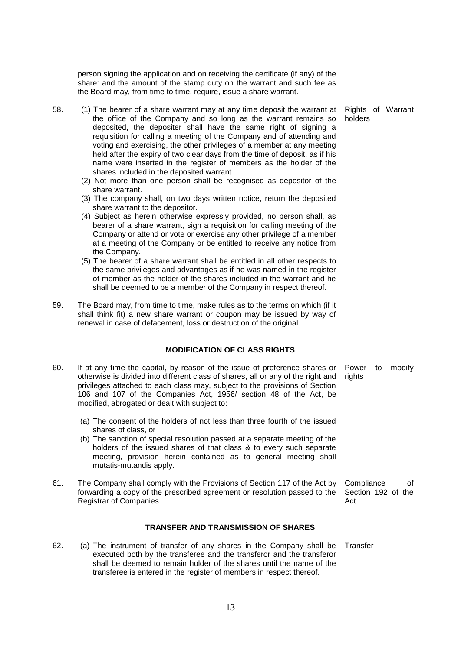person signing the application and on receiving the certificate (if any) of the share: and the amount of the stamp duty on the warrant and such fee as the Board may, from time to time, require, issue a share warrant.

> Rights of Warrant holders

- 58. (1) The bearer of a share warrant may at any time deposit the warrant at the office of the Company and so long as the warrant remains so deposited, the depositer shall have the same right of signing a requisition for calling a meeting of the Company and of attending and voting and exercising, the other privileges of a member at any meeting held after the expiry of two clear days from the time of deposit, as if his name were inserted in the register of members as the holder of the shares included in the deposited warrant.
	- (2) Not more than one person shall be recognised as depositor of the share warrant.
	- (3) The company shall, on two days written notice, return the deposited share warrant to the depositor.
	- (4) Subject as herein otherwise expressly provided, no person shall, as bearer of a share warrant, sign a requisition for calling meeting of the Company or attend or vote or exercise any other privilege of a member at a meeting of the Company or be entitled to receive any notice from the Company.
	- (5) The bearer of a share warrant shall be entitled in all other respects to the same privileges and advantages as if he was named in the register of member as the holder of the shares included in the warrant and he shall be deemed to be a member of the Company in respect thereof.
- 59. The Board may, from time to time, make rules as to the terms on which (if it shall think fit) a new share warrant or coupon may be issued by way of renewal in case of defacement, loss or destruction of the original.

#### **MODIFICATION OF CLASS RIGHTS**

- 60. If at any time the capital, by reason of the issue of preference shares or otherwise is divided into different class of shares, all or any of the right and privileges attached to each class may, subject to the provisions of Section 106 and 107 of the Companies Act, 1956/ section 48 of the Act, be modified, abrogated or dealt with subject to: Power to modify rights
	- (a) The consent of the holders of not less than three fourth of the issued shares of class, or
	- (b) The sanction of special resolution passed at a separate meeting of the holders of the issued shares of that class & to every such separate meeting, provision herein contained as to general meeting shall mutatis-mutandis apply.
- 61. The Company shall comply with the Provisions of Section 117 of the Act by forwarding a copy of the prescribed agreement or resolution passed to the Registrar of Companies. Compliance of Section 192 of the Act

#### **TRANSFER AND TRANSMISSION OF SHARES**

62. (a) The instrument of transfer of any shares in the Company shall be executed both by the transferee and the transferor and the transferor shall be deemed to remain holder of the shares until the name of the transferee is entered in the register of members in respect thereof.

**Transfer**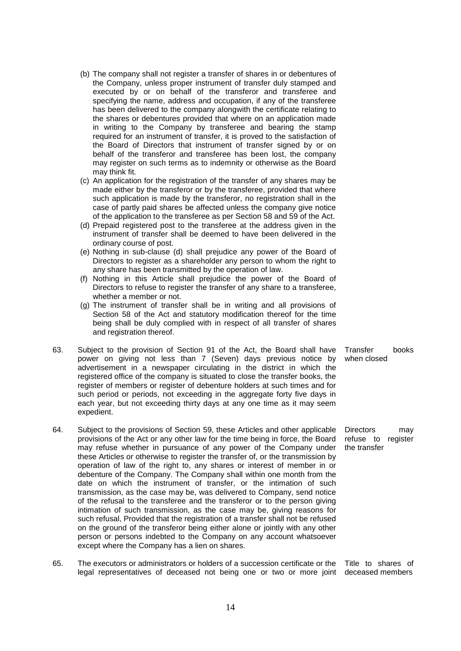- (b) The company shall not register a transfer of shares in or debentures of the Company, unless proper instrument of transfer duly stamped and executed by or on behalf of the transferor and transferee and specifying the name, address and occupation, if any of the transferee has been delivered to the company alongwith the certificate relating to the shares or debentures provided that where on an application made in writing to the Company by transferee and bearing the stamp required for an instrument of transfer, it is proved to the satisfaction of the Board of Directors that instrument of transfer signed by or on behalf of the transferor and transferee has been lost, the company may register on such terms as to indemnity or otherwise as the Board may think fit.
- (c) An application for the registration of the transfer of any shares may be made either by the transferor or by the transferee, provided that where such application is made by the transferor, no registration shall in the case of partly paid shares be affected unless the company give notice of the application to the transferee as per Section 58 and 59 of the Act.
- (d) Prepaid registered post to the transferee at the address given in the instrument of transfer shall be deemed to have been delivered in the ordinary course of post.
- (e) Nothing in sub-clause (d) shall prejudice any power of the Board of Directors to register as a shareholder any person to whom the right to any share has been transmitted by the operation of law.
- (f) Nothing in this Article shall prejudice the power of the Board of Directors to refuse to register the transfer of any share to a transferee, whether a member or not.
- (g) The instrument of transfer shall be in writing and all provisions of Section 58 of the Act and statutory modification thereof for the time being shall be duly complied with in respect of all transfer of shares and registration thereof.
- 63. Subject to the provision of Section 91 of the Act, the Board shall have power on giving not less than 7 (Seven) days previous notice by advertisement in a newspaper circulating in the district in which the registered office of the company is situated to close the transfer books, the register of members or register of debenture holders at such times and for such period or periods, not exceeding in the aggregate forty five days in each year, but not exceeding thirty days at any one time as it may seem expedient.
- 64. Subject to the provisions of Section 59, these Articles and other applicable provisions of the Act or any other law for the time being in force, the Board may refuse whether in pursuance of any power of the Company under these Articles or otherwise to register the transfer of, or the transmission by operation of law of the right to, any shares or interest of member in or debenture of the Company. The Company shall within one month from the date on which the instrument of transfer, or the intimation of such transmission, as the case may be, was delivered to Company, send notice of the refusal to the transferee and the transferor or to the person giving intimation of such transmission, as the case may be, giving reasons for such refusal, Provided that the registration of a transfer shall not be refused on the ground of the transferor being either alone or jointly with any other person or persons indebted to the Company on any account whatsoever except where the Company has a lien on shares. the transfer
- 65. The executors or administrators or holders of a succession certificate or the legal representatives of deceased not being one or two or more joint deceased membersTitle to shares of

Transfer books when closed

Directors may refuse to register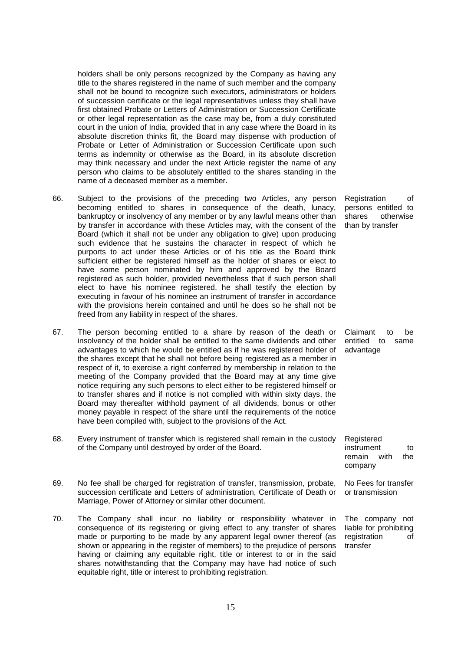holders shall be only persons recognized by the Company as having any title to the shares registered in the name of such member and the company shall not be bound to recognize such executors, administrators or holders of succession certificate or the legal representatives unless they shall have first obtained Probate or Letters of Administration or Succession Certificate or other legal representation as the case may be, from a duly constituted court in the union of India, provided that in any case where the Board in its absolute discretion thinks fit, the Board may dispense with production of Probate or Letter of Administration or Succession Certificate upon such terms as indemnity or otherwise as the Board, in its absolute discretion may think necessary and under the next Article register the name of any person who claims to be absolutely entitled to the shares standing in the name of a deceased member as a member.

- 66. Subject to the provisions of the preceding two Articles, any person becoming entitled to shares in consequence of the death, lunacy, bankruptcy or insolvency of any member or by any lawful means other than by transfer in accordance with these Articles may, with the consent of the Board (which it shall not be under any obligation to give) upon producing such evidence that he sustains the character in respect of which he purports to act under these Articles or of his title as the Board think sufficient either be registered himself as the holder of shares or elect to have some person nominated by him and approved by the Board registered as such holder, provided nevertheless that if such person shall elect to have his nominee registered, he shall testify the election by executing in favour of his nominee an instrument of transfer in accordance with the provisions herein contained and until he does so he shall not be freed from any liability in respect of the shares.
- 67. The person becoming entitled to a share by reason of the death or insolvency of the holder shall be entitled to the same dividends and other advantages to which he would be entitled as if he was registered holder of the shares except that he shall not before being registered as a member in respect of it, to exercise a right conferred by membership in relation to the meeting of the Company provided that the Board may at any time give notice requiring any such persons to elect either to be registered himself or to transfer shares and if notice is not complied with within sixty days, the Board may thereafter withhold payment of all dividends, bonus or other money payable in respect of the share until the requirements of the notice have been compiled with, subject to the provisions of the Act.
- 68. Every instrument of transfer which is registered shall remain in the custody of the Company until destroyed by order of the Board.
- 69. No fee shall be charged for registration of transfer, transmission, probate, succession certificate and Letters of administration, Certificate of Death or Marriage, Power of Attorney or similar other document.
- 70. The Company shall incur no liability or responsibility whatever in consequence of its registering or giving effect to any transfer of shares made or purporting to be made by any apparent legal owner thereof (as shown or appearing in the register of members) to the prejudice of persons having or claiming any equitable right, title or interest to or in the said shares notwithstanding that the Company may have had notice of such equitable right, title or interest to prohibiting registration.

Registration of persons entitled to shares otherwise than by transfer

Claimant to be entitled to same advantage

remain with the company No Fees for transfer or transmission

instrument to

Registered

The company not liable for prohibiting registration of transfer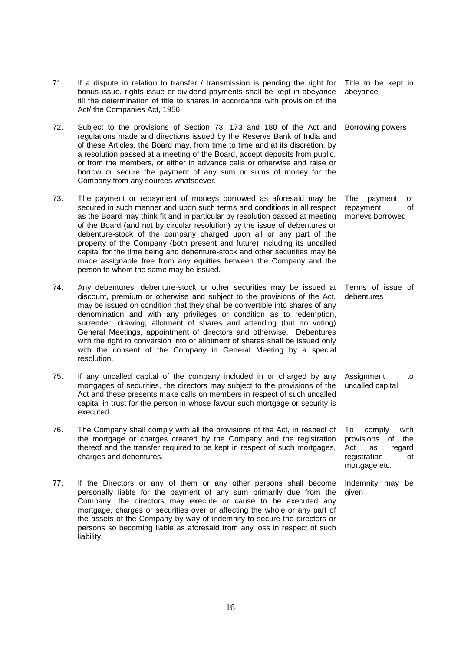|     | of these Articles, the Board may, from time to time and at its discretion, by<br>a resolution passed at a meeting of the Board, accept deposits from public,<br>or from the members, or either in advance calls or otherwise and raise or<br>borrow or secure the payment of any sum or sums of money for the<br>Company from any sources whatsoever.                                                                                                                                                                                                                                                                                                      |                                                                                                               |
|-----|------------------------------------------------------------------------------------------------------------------------------------------------------------------------------------------------------------------------------------------------------------------------------------------------------------------------------------------------------------------------------------------------------------------------------------------------------------------------------------------------------------------------------------------------------------------------------------------------------------------------------------------------------------|---------------------------------------------------------------------------------------------------------------|
| 73. | The payment or repayment of moneys borrowed as aforesaid may be<br>secured in such manner and upon such terms and conditions in all respect<br>as the Board may think fit and in particular by resolution passed at meeting<br>of the Board (and not by circular resolution) by the issue of debentures or<br>debenture-stock of the company charged upon all or any part of the<br>property of the Company (both present and future) including its uncalled<br>capital for the time being and debenture-stock and other securities may be<br>made assignable free from any equities between the Company and the<br>person to whom the same may be issued. | The<br>payment<br>or<br>repayment<br>of<br>moneys borrowed                                                    |
| 74. | Any debentures, debenture-stock or other securities may be issued at<br>discount, premium or otherwise and subject to the provisions of the Act,<br>may be issued on condition that they shall be convertible into shares of any<br>denomination and with any privileges or condition as to redemption,<br>surrender, drawing, allotment of shares and attending (but no voting)<br>General Meetings, appointment of directors and otherwise. Debentures<br>with the right to conversion into or allotment of shares shall be issued only<br>with the consent of the Company in General Meeting by a special<br>resolution.                                | Terms of issue of<br>debentures                                                                               |
| 75. | If any uncalled capital of the company included in or charged by any<br>mortgages of securities, the directors may subject to the provisions of the<br>Act and these presents make calls on members in respect of such uncalled<br>capital in trust for the person in whose favour such mortgage or security is<br>executed.                                                                                                                                                                                                                                                                                                                               | Assignment<br>to<br>uncalled capital                                                                          |
| 76. | The Company shall comply with all the provisions of the Act, in respect of<br>the mortgage or charges created by the Company and the registration<br>thereof and the transfer required to be kept in respect of such mortgages,<br>charges and debentures.                                                                                                                                                                                                                                                                                                                                                                                                 | with<br>To<br>comply<br>provisions<br>of<br>the<br>Act<br>as<br>regard<br>registration<br>οf<br>mortgage etc. |
| 77. | If the Directors or any of them or any other persons shall become<br>personally liable for the payment of any sum primarily due from the<br>Company, the directors may execute or cause to be executed any<br>mortgage, charges or securities over or affecting the whole or any part of<br>the assets of the Company by way of indemnity to secure the directors or<br>persons so becoming liable as aforesaid from any loss in respect of such                                                                                                                                                                                                           | Indemnity may be<br>given                                                                                     |

71. If a dispute in relation to transfer / transmission is pending the right for bonus issue, rights issue or dividend payments shall be kept in abeyance till the determination of title to shares in accordance with provision of the

72. Subject to the provisions of Section 73, 173 and 180 of the Act and regulations made and directions issued by the Reserve Bank of India and

Title to be kept in

Borrowing powers

abeyance

Act/ the Companies Act, 1956.

liability.

16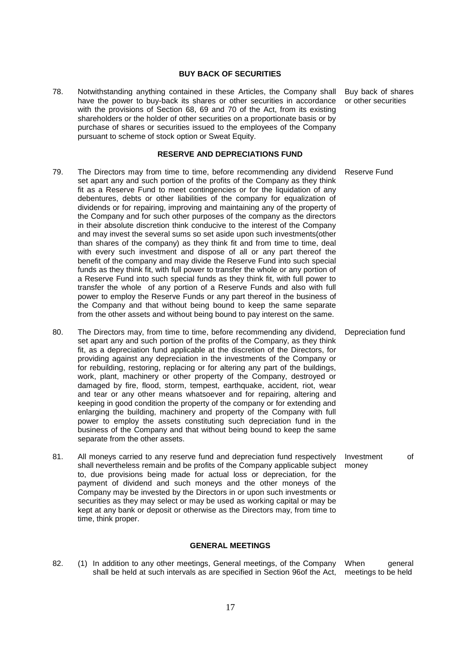### **BUY BACK OF SECURITIES**

78. Notwithstanding anything contained in these Articles, the Company shall have the power to buy-back its shares or other securities in accordance with the provisions of Section 68, 69 and 70 of the Act, from its existing shareholders or the holder of other securities on a proportionate basis or by purchase of shares or securities issued to the employees of the Company pursuant to scheme of stock option or Sweat Equity.

#### **RESERVE AND DEPRECIATIONS FUND**

- 79. The Directors may from time to time, before recommending any dividend set apart any and such portion of the profits of the Company as they think fit as a Reserve Fund to meet contingencies or for the liquidation of any debentures, debts or other liabilities of the company for equalization of dividends or for repairing, improving and maintaining any of the property of the Company and for such other purposes of the company as the directors in their absolute discretion think conducive to the interest of the Company and may invest the several sums so set aside upon such investments(other than shares of the company) as they think fit and from time to time, deal with every such investment and dispose of all or any part thereof the benefit of the company and may divide the Reserve Fund into such special funds as they think fit, with full power to transfer the whole or any portion of a Reserve Fund into such special funds as they think fit, with full power to transfer the whole of any portion of a Reserve Funds and also with full power to employ the Reserve Funds or any part thereof in the business of the Company and that without being bound to keep the same separate from the other assets and without being bound to pay interest on the same. Reserve Fund
- 80. The Directors may, from time to time, before recommending any dividend, set apart any and such portion of the profits of the Company, as they think fit, as a depreciation fund applicable at the discretion of the Directors, for providing against any depreciation in the investments of the Company or for rebuilding, restoring, replacing or for altering any part of the buildings, work, plant, machinery or other property of the Company, destroyed or damaged by fire, flood, storm, tempest, earthquake, accident, riot, wear and tear or any other means whatsoever and for repairing, altering and keeping in good condition the property of the company or for extending and enlarging the building, machinery and property of the Company with full power to employ the assets constituting such depreciation fund in the business of the Company and that without being bound to keep the same separate from the other assets.
- 81. All moneys carried to any reserve fund and depreciation fund respectively shall nevertheless remain and be profits of the Company applicable subject to, due provisions being made for actual loss or depreciation, for the payment of dividend and such moneys and the other moneys of the Company may be invested by the Directors in or upon such investments or securities as they may select or may be used as working capital or may be kept at any bank or deposit or otherwise as the Directors may, from time to time, think proper. Investment of money

#### **GENERAL MEETINGS**

82. (1) In addition to any other meetings, General meetings, of the Company When shall be held at such intervals as are specified in Section 96of the Act, meetings to be heldgeneral

Buy back of shares or other securities

Depreciation fund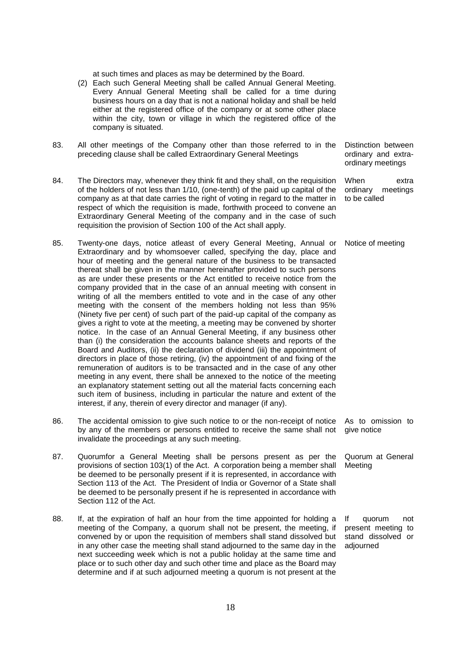at such times and places as may be determined by the Board.

- (2) Each such General Meeting shall be called Annual General Meeting. Every Annual General Meeting shall be called for a time during business hours on a day that is not a national holiday and shall be held either at the registered office of the company or at some other place within the city, town or village in which the registered office of the company is situated.
- 83. All other meetings of the Company other than those referred to in the preceding clause shall be called Extraordinary General Meetings
- 84. The Directors may, whenever they think fit and they shall, on the requisition of the holders of not less than 1/10, (one-tenth) of the paid up capital of the company as at that date carries the right of voting in regard to the matter in respect of which the requisition is made, forthwith proceed to convene an Extraordinary General Meeting of the company and in the case of such requisition the provision of Section 100 of the Act shall apply.
- 85. Twenty-one days, notice atleast of every General Meeting, Annual or Extraordinary and by whomsoever called, specifying the day, place and hour of meeting and the general nature of the business to be transacted thereat shall be given in the manner hereinafter provided to such persons as are under these presents or the Act entitled to receive notice from the company provided that in the case of an annual meeting with consent in writing of all the members entitled to vote and in the case of any other meeting with the consent of the members holding not less than 95% (Ninety five per cent) of such part of the paid-up capital of the company as gives a right to vote at the meeting, a meeting may be convened by shorter notice. In the case of an Annual General Meeting, if any business other than (i) the consideration the accounts balance sheets and reports of the Board and Auditors, (ii) the declaration of dividend (iii) the appointment of directors in place of those retiring, (iv) the appointment of and fixing of the remuneration of auditors is to be transacted and in the case of any other meeting in any event, there shall be annexed to the notice of the meeting an explanatory statement setting out all the material facts concerning each such item of business, including in particular the nature and extent of the interest, if any, therein of every director and manager (if any).
- 86. The accidental omission to give such notice to or the non-receipt of notice by any of the members or persons entitled to receive the same shall not invalidate the proceedings at any such meeting. give notice
- 87. Quorumfor a General Meeting shall be persons present as per the provisions of section 103(1) of the Act. A corporation being a member shall be deemed to be personally present if it is represented, in accordance with Section 113 of the Act. The President of India or Governor of a State shall be deemed to be personally present if he is represented in accordance with Section 112 of the Act.
- 88. If, at the expiration of half an hour from the time appointed for holding a meeting of the Company, a quorum shall not be present, the meeting, if convened by or upon the requisition of members shall stand dissolved but in any other case the meeting shall stand adjourned to the same day in the next succeeding week which is not a public holiday at the same time and place or to such other day and such other time and place as the Board may determine and if at such adjourned meeting a quorum is not present at the

Distinction between ordinary and extraordinary meetings

When extra ordinary meetings to be called

Notice of meeting

As to omission to

Quorum at General Meeting

If quorum not present meeting to stand dissolved or adjourned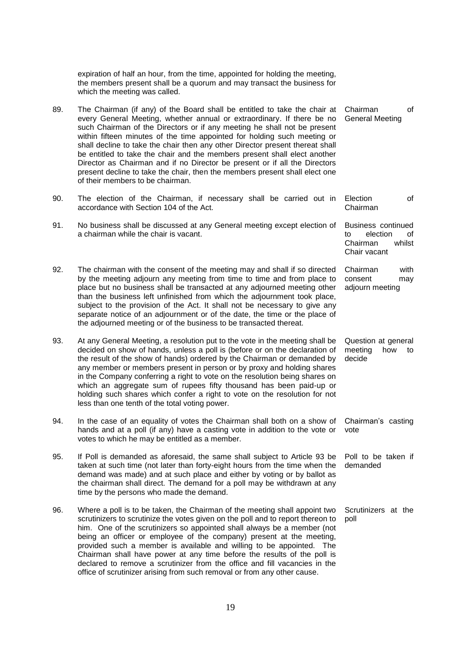|     | expiration of half an hour, from the time, appointed for holding the meeting,<br>the members present shall be a quorum and may transact the business for<br>which the meeting was called.                                                                                                                                                                                                                                                                                                                                                                                                                                                                                  |                                                                                  |
|-----|----------------------------------------------------------------------------------------------------------------------------------------------------------------------------------------------------------------------------------------------------------------------------------------------------------------------------------------------------------------------------------------------------------------------------------------------------------------------------------------------------------------------------------------------------------------------------------------------------------------------------------------------------------------------------|----------------------------------------------------------------------------------|
| 89. | The Chairman (if any) of the Board shall be entitled to take the chair at<br>every General Meeting, whether annual or extraordinary. If there be no<br>such Chairman of the Directors or if any meeting he shall not be present<br>within fifteen minutes of the time appointed for holding such meeting or<br>shall decline to take the chair then any other Director present thereat shall<br>be entitled to take the chair and the members present shall elect another<br>Director as Chairman and if no Director be present or if all the Directors<br>present decline to take the chair, then the members present shall elect one<br>of their members to be chairman. | Chairman<br>of<br><b>General Meeting</b>                                         |
| 90. | The election of the Chairman, if necessary shall be carried out in<br>accordance with Section 104 of the Act.                                                                                                                                                                                                                                                                                                                                                                                                                                                                                                                                                              | of<br>Election<br>Chairman                                                       |
| 91. | No business shall be discussed at any General meeting except election of<br>a chairman while the chair is vacant.                                                                                                                                                                                                                                                                                                                                                                                                                                                                                                                                                          | Business continued<br>election<br>to<br>of<br>whilst<br>Chairman<br>Chair vacant |
| 92. | The chairman with the consent of the meeting may and shall if so directed<br>by the meeting adjourn any meeting from time to time and from place to<br>place but no business shall be transacted at any adjourned meeting other<br>than the business left unfinished from which the adjournment took place,<br>subject to the provision of the Act. It shall not be necessary to give any<br>separate notice of an adjournment or of the date, the time or the place of<br>the adjourned meeting or of the business to be transacted thereat.                                                                                                                              | with<br>Chairman<br>consent<br>may<br>adjourn meeting                            |
| 93. | At any General Meeting, a resolution put to the vote in the meeting shall be<br>decided on show of hands, unless a poll is (before or on the declaration of<br>the result of the show of hands) ordered by the Chairman or demanded by<br>any member or members present in person or by proxy and holding shares<br>in the Company conferring a right to vote on the resolution being shares on<br>which an aggregate sum of rupees fifty thousand has been paid-up or<br>holding such shares which confer a right to vote on the resolution for not<br>less than one tenth of the total voting power.                                                                     | Question at general<br>meeting<br>how<br>to<br>decide                            |
| 94. | In the case of an equality of votes the Chairman shall both on a show of<br>hands and at a poll (if any) have a casting vote in addition to the vote or<br>votes to which he may be entitled as a member.                                                                                                                                                                                                                                                                                                                                                                                                                                                                  | Chairman's casting<br>vote                                                       |
| 95. | If Poll is demanded as aforesaid, the same shall subject to Article 93 be<br>taken at such time (not later than forty-eight hours from the time when the<br>demand was made) and at such place and either by voting or by ballot as<br>the chairman shall direct. The demand for a poll may be withdrawn at any<br>time by the persons who made the demand.                                                                                                                                                                                                                                                                                                                | Poll to be taken if<br>demanded                                                  |
| 96. | Where a poll is to be taken, the Chairman of the meeting shall appoint two<br>scrutinizers to scrutinize the votes given on the poll and to report thereon to<br>him. One of the scrutinizers so appointed shall always be a member (not<br>being an officer or employee of the company) present at the meeting,<br>provided such a member is available and willing to be appointed. The<br>Chairman shall have power at any time before the results of the poll is<br>declared to remove a scrutinizer from the office and fill vacancies in the<br>office of scrutinizer arising from such removal or from any other cause.                                              | Scrutinizers at the<br>poll                                                      |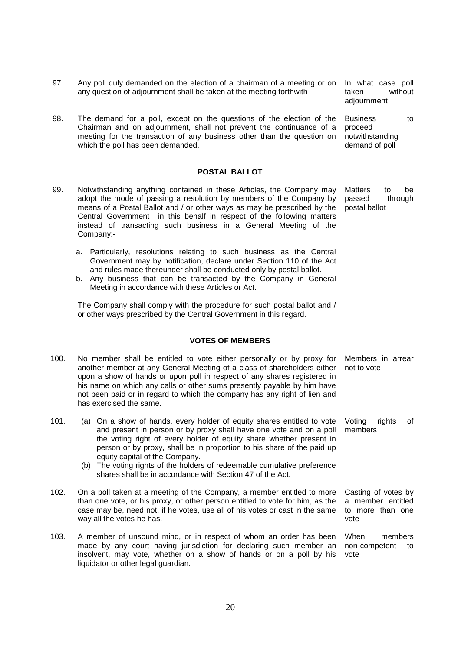- 97. Any poll duly demanded on the election of a chairman of a meeting or on any question of adjournment shall be taken at the meeting forthwith
- 98. The demand for a poll, except on the questions of the election of the Chairman and on adjournment, shall not prevent the continuance of a meeting for the transaction of any business other than the question on which the poll has been demanded.

#### **POSTAL BALLOT**

- 99. Notwithstanding anything contained in these Articles, the Company may adopt the mode of passing a resolution by members of the Company by means of a Postal Ballot and / or other ways as may be prescribed by the Central Government in this behalf in respect of the following matters instead of transacting such business in a General Meeting of the Company:
	- a. Particularly, resolutions relating to such business as the Central Government may by notification, declare under Section 110 of the Act and rules made thereunder shall be conducted only by postal ballot.
	- b. Any business that can be transacted by the Company in General Meeting in accordance with these Articles or Act.

The Company shall comply with the procedure for such postal ballot and / or other ways prescribed by the Central Government in this regard.

#### **VOTES OF MEMBERS**

- 100. No member shall be entitled to vote either personally or by proxy for another member at any General Meeting of a class of shareholders either upon a show of hands or upon poll in respect of any shares registered in his name on which any calls or other sums presently payable by him have not been paid or in regard to which the company has any right of lien and has exercised the same. Members in arrear not to vote
- 101. (a) On a show of hands, every holder of equity shares entitled to vote and present in person or by proxy shall have one vote and on a poll the voting right of every holder of equity share whether present in person or by proxy, shall be in proportion to his share of the paid up equity capital of the Company.
	- (b) The voting rights of the holders of redeemable cumulative preference shares shall be in accordance with Section 47 of the Act.
- 102. On a poll taken at a meeting of the Company, a member entitled to more than one vote, or his proxy, or other person entitled to vote for him, as the case may be, need not, if he votes, use all of his votes or cast in the same way all the votes he has.
- 103. A member of unsound mind, or in respect of whom an order has been made by any court having jurisdiction for declaring such member an insolvent, may vote, whether on a show of hands or on a poll by his liquidator or other legal guardian. vote

In what case poll taken without adjournment

Business to proceed notwithstanding demand of poll

Matters to be passed through postal ballot

Voting rights of members

Casting of votes by a member entitled to more than one vote

When members non-competent to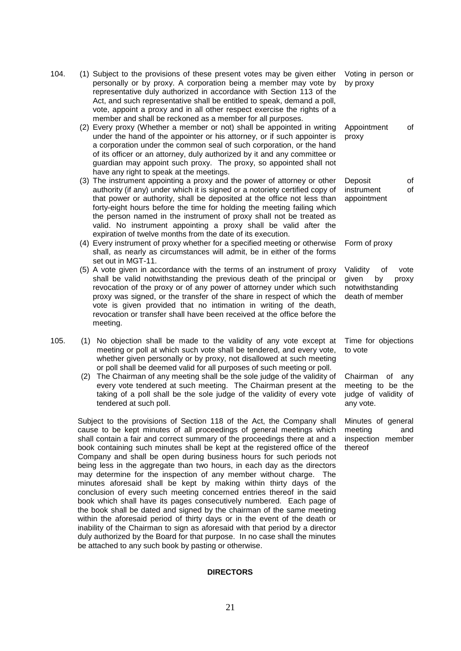| 104. | (1) Subject to the provisions of these present votes may be given either<br>personally or by proxy. A corporation being a member may vote by<br>representative duly authorized in accordance with Section 113 of the<br>Act, and such representative shall be entitled to speak, demand a poll,<br>vote, appoint a proxy and in all other respect exercise the rights of a<br>member and shall be reckoned as a member for all purposes.                                                                                                                                                                                                                                                                                                                       | Voting in person or<br>by proxy                                                      |
|------|----------------------------------------------------------------------------------------------------------------------------------------------------------------------------------------------------------------------------------------------------------------------------------------------------------------------------------------------------------------------------------------------------------------------------------------------------------------------------------------------------------------------------------------------------------------------------------------------------------------------------------------------------------------------------------------------------------------------------------------------------------------|--------------------------------------------------------------------------------------|
|      | (2) Every proxy (Whether a member or not) shall be appointed in writing<br>under the hand of the appointer or his attorney, or if such appointer is<br>a corporation under the common seal of such corporation, or the hand<br>of its officer or an attorney, duly authorized by it and any committee or<br>guardian may appoint such proxy. The proxy, so appointed shall not<br>have any right to speak at the meetings.                                                                                                                                                                                                                                                                                                                                     | Appointment<br>of<br>proxy                                                           |
|      | (3) The instrument appointing a proxy and the power of attorney or other<br>authority (if any) under which it is signed or a notoriety certified copy of<br>that power or authority, shall be deposited at the office not less than<br>forty-eight hours before the time for holding the meeting failing which<br>the person named in the instrument of proxy shall not be treated as<br>valid. No instrument appointing a proxy shall be valid after the<br>expiration of twelve months from the date of its execution.                                                                                                                                                                                                                                       | Deposit<br>of<br>instrument<br>of<br>appointment                                     |
|      | (4) Every instrument of proxy whether for a specified meeting or otherwise<br>shall, as nearly as circumstances will admit, be in either of the forms<br>set out in MGT-11.                                                                                                                                                                                                                                                                                                                                                                                                                                                                                                                                                                                    | Form of proxy                                                                        |
|      | (5) A vote given in accordance with the terms of an instrument of proxy<br>shall be valid notwithstanding the previous death of the principal or<br>revocation of the proxy or of any power of attorney under which such<br>proxy was signed, or the transfer of the share in respect of which the<br>vote is given provided that no intimation in writing of the death,<br>revocation or transfer shall have been received at the office before the<br>meeting.                                                                                                                                                                                                                                                                                               | Validity<br>of<br>vote<br>given<br>by<br>proxy<br>notwithstanding<br>death of member |
| 105. | (1) No objection shall be made to the validity of any vote except at<br>meeting or poll at which such vote shall be tendered, and every vote,<br>whether given personally or by proxy, not disallowed at such meeting<br>or poll shall be deemed valid for all purposes of such meeting or poll.                                                                                                                                                                                                                                                                                                                                                                                                                                                               | Time for objections<br>to vote                                                       |
|      | (2) The Chairman of any meeting shall be the sole judge of the validity of<br>every vote tendered at such meeting. The Chairman present at the<br>taking of a poll shall be the sole judge of the validity of every vote<br>tendered at such poll.                                                                                                                                                                                                                                                                                                                                                                                                                                                                                                             | Chairman<br>of any<br>meeting to be the<br>judge of validity of<br>any vote.         |
|      | Subject to the provisions of Section 118 of the Act, the Company shall<br>cause to be kept minutes of all proceedings of general meetings which<br>shall contain a fair and correct summary of the proceedings there at and a<br>book containing such minutes shall be kept at the registered office of the<br>Company and shall be open during business hours for such periods not<br>being less in the aggregate than two hours, in each day as the directors<br>may determine for the inspection of any member without charge. The<br>minutes aforesaid shall be kept by making within thirty days of the<br>conclusion of every such meeting concerned entries thereof in the said<br>book which shall have its pages consecutively numbered. Each page of | Minutes of general<br>meeting<br>and<br>inspection member<br>thereof                 |

# **DIRECTORS**

the book shall be dated and signed by the chairman of the same meeting within the aforesaid period of thirty days or in the event of the death or inability of the Chairman to sign as aforesaid with that period by a director duly authorized by the Board for that purpose. In no case shall the minutes

be attached to any such book by pasting or otherwise.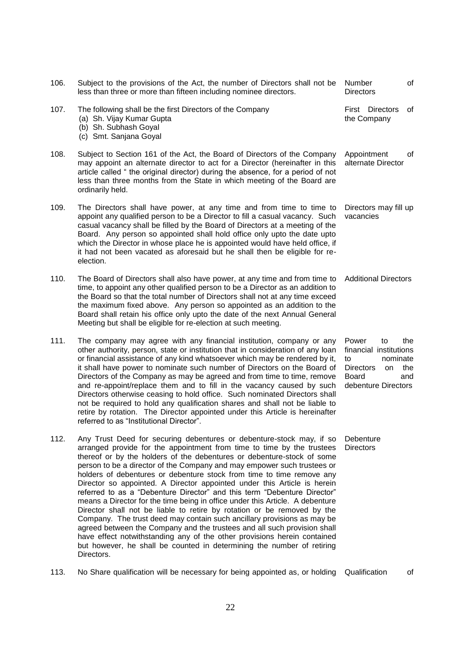| 106. | Subject to the provisions of the Act, the number of Directors shall not be<br>less than three or more than fifteen including nominee directors.                                                                                                                                                                                                                                                                                                                                                                                                                                                                                                                                                                                                                                                                                                                                                                                                                                                                             | Number<br><b>Directors</b>                                                                                               | of                    |
|------|-----------------------------------------------------------------------------------------------------------------------------------------------------------------------------------------------------------------------------------------------------------------------------------------------------------------------------------------------------------------------------------------------------------------------------------------------------------------------------------------------------------------------------------------------------------------------------------------------------------------------------------------------------------------------------------------------------------------------------------------------------------------------------------------------------------------------------------------------------------------------------------------------------------------------------------------------------------------------------------------------------------------------------|--------------------------------------------------------------------------------------------------------------------------|-----------------------|
| 107. | The following shall be the first Directors of the Company<br>(a) Sh. Vijay Kumar Gupta<br>(b) Sh. Subhash Goyal<br>(c) Smt. Sanjana Goyal                                                                                                                                                                                                                                                                                                                                                                                                                                                                                                                                                                                                                                                                                                                                                                                                                                                                                   |                                                                                                                          | First Directors<br>of |
| 108. | Subject to Section 161 of the Act, the Board of Directors of the Company<br>may appoint an alternate director to act for a Director (hereinafter in this<br>article called "the original director) during the absence, for a period of not<br>less than three months from the State in which meeting of the Board are<br>ordinarily held.                                                                                                                                                                                                                                                                                                                                                                                                                                                                                                                                                                                                                                                                                   | Appointment<br>alternate Director                                                                                        | of                    |
| 109. | The Directors shall have power, at any time and from time to time to<br>appoint any qualified person to be a Director to fill a casual vacancy. Such<br>casual vacancy shall be filled by the Board of Directors at a meeting of the<br>Board. Any person so appointed shall hold office only upto the date upto<br>which the Director in whose place he is appointed would have held office, if<br>it had not been vacated as aforesaid but he shall then be eligible for re-<br>election.                                                                                                                                                                                                                                                                                                                                                                                                                                                                                                                                 | Directors may fill up<br>vacancies                                                                                       |                       |
| 110. | The Board of Directors shall also have power, at any time and from time to<br>time, to appoint any other qualified person to be a Director as an addition to<br>the Board so that the total number of Directors shall not at any time exceed<br>the maximum fixed above. Any person so appointed as an addition to the<br>Board shall retain his office only upto the date of the next Annual General<br>Meeting but shall be eligible for re-election at such meeting.                                                                                                                                                                                                                                                                                                                                                                                                                                                                                                                                                     | <b>Additional Directors</b>                                                                                              |                       |
| 111. | The company may agree with any financial institution, company or any<br>other authority, person, state or institution that in consideration of any loan<br>or financial assistance of any kind whatsoever which may be rendered by it,<br>it shall have power to nominate such number of Directors on the Board of<br>Directors of the Company as may be agreed and from time to time, remove<br>and re-appoint/replace them and to fill in the vacancy caused by such<br>Directors otherwise ceasing to hold office. Such nominated Directors shall<br>not be required to hold any qualification shares and shall not be liable to<br>retire by rotation. The Director appointed under this Article is hereinafter<br>referred to as "Institutional Director".                                                                                                                                                                                                                                                             | Power<br>to<br>financial institutions<br>nominate<br>to<br><b>Directors</b><br>on<br><b>Board</b><br>debenture Directors | the<br>the<br>and     |
| 112. | Any Trust Deed for securing debentures or debenture-stock may, if so<br>arranged provide for the appointment from time to time by the trustees<br>thereof or by the holders of the debentures or debenture-stock of some<br>person to be a director of the Company and may empower such trustees or<br>holders of debentures or debenture stock from time to time remove any<br>Director so appointed. A Director appointed under this Article is herein<br>referred to as a "Debenture Director" and this term "Debenture Director"<br>means a Director for the time being in office under this Article. A debenture<br>Director shall not be liable to retire by rotation or be removed by the<br>Company. The trust deed may contain such ancillary provisions as may be<br>agreed between the Company and the trustees and all such provision shall<br>have effect notwithstanding any of the other provisions herein contained<br>but however, he shall be counted in determining the number of retiring<br>Directors. | Debenture<br><b>Directors</b>                                                                                            |                       |

113. No Share qualification will be necessary for being appointed as, or holding Qualification of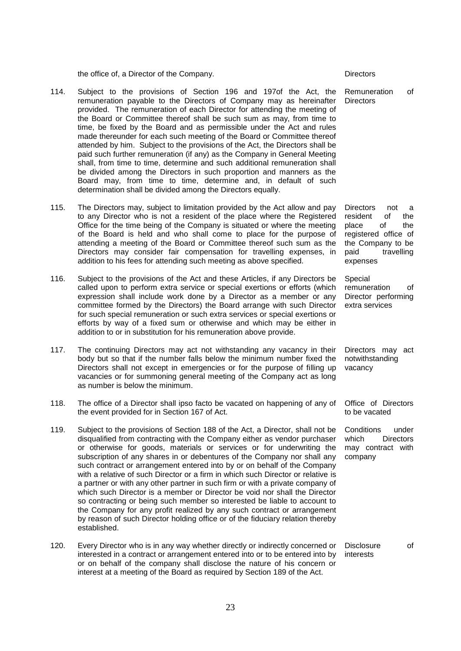the office of, a Director of the Company. The Company of the Company of the Company of the Company of the Directors

- 114. Subject to the provisions of Section 196 and 197of the Act, the remuneration payable to the Directors of Company may as hereinafter provided. The remuneration of each Director for attending the meeting of the Board or Committee thereof shall be such sum as may, from time to time, be fixed by the Board and as permissible under the Act and rules made thereunder for each such meeting of the Board or Committee thereof attended by him. Subject to the provisions of the Act, the Directors shall be paid such further remuneration (if any) as the Company in General Meeting shall, from time to time, determine and such additional remuneration shall be divided among the Directors in such proportion and manners as the Board may, from time to time, determine and, in default of such determination shall be divided among the Directors equally.
- 115. The Directors may, subject to limitation provided by the Act allow and pay to any Director who is not a resident of the place where the Registered Office for the time being of the Company is situated or where the meeting of the Board is held and who shall come to place for the purpose of attending a meeting of the Board or Committee thereof such sum as the Directors may consider fair compensation for travelling expenses, in addition to his fees for attending such meeting as above specified.
- 116. Subject to the provisions of the Act and these Articles, if any Directors be called upon to perform extra service or special exertions or efforts (which expression shall include work done by a Director as a member or any committee formed by the Directors) the Board arrange with such Director for such special remuneration or such extra services or special exertions or efforts by way of a fixed sum or otherwise and which may be either in addition to or in substitution for his remuneration above provide.
- 117. The continuing Directors may act not withstanding any vacancy in their body but so that if the number falls below the minimum number fixed the Directors shall not except in emergencies or for the purpose of filling up vacancies or for summoning general meeting of the Company act as long as number is below the minimum.
- 118. The office of a Director shall ipso facto be vacated on happening of any of the event provided for in Section 167 of Act.
- 119. Subject to the provisions of Section 188 of the Act, a Director, shall not be disqualified from contracting with the Company either as vendor purchaser or otherwise for goods, materials or services or for underwriting the subscription of any shares in or debentures of the Company nor shall any such contract or arrangement entered into by or on behalf of the Company with a relative of such Director or a firm in which such Director or relative is a partner or with any other partner in such firm or with a private company of which such Director is a member or Director be void nor shall the Director so contracting or being such member so interested be liable to account to the Company for any profit realized by any such contract or arrangement by reason of such Director holding office or of the fiduciary relation thereby established.
- 120. Every Director who is in any way whether directly or indirectly concerned or interested in a contract or arrangement entered into or to be entered into by or on behalf of the company shall disclose the nature of his concern or interest at a meeting of the Board as required by Section 189 of the Act. Disclosure of interests

Remuneration of **Directors** 

Directors not a resident of the place of the registered office of the Company to be paid travelling expenses

Special remuneration of Director performing extra services

Directors may act notwithstanding vacancy

Office of Directors to be vacated

Conditions under which Directors may contract with company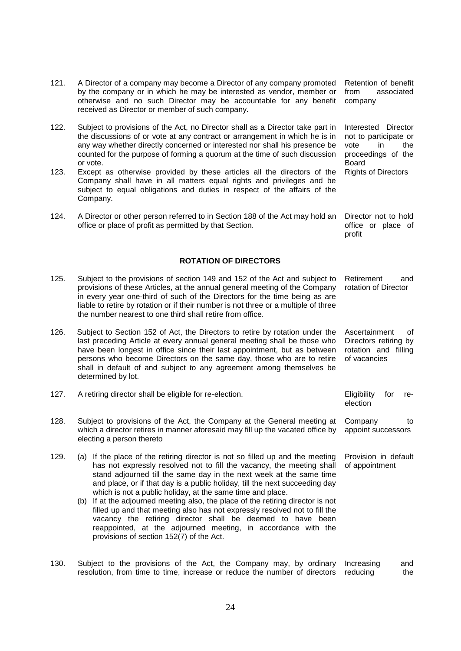| 121. | A Director of a company may become a Director of any company promoted<br>by the company or in which he may be interested as vendor, member or<br>otherwise and no such Director may be accountable for any benefit<br>received as Director or member of such company.                                                                                                                                                                                                                                                                                                                                                                                                                                                  | Retention of benefit<br>from<br>associated<br>company                                                       |
|------|------------------------------------------------------------------------------------------------------------------------------------------------------------------------------------------------------------------------------------------------------------------------------------------------------------------------------------------------------------------------------------------------------------------------------------------------------------------------------------------------------------------------------------------------------------------------------------------------------------------------------------------------------------------------------------------------------------------------|-------------------------------------------------------------------------------------------------------------|
| 122. | Subject to provisions of the Act, no Director shall as a Director take part in<br>the discussions of or vote at any contract or arrangement in which he is in<br>any way whether directly concerned or interested nor shall his presence be<br>counted for the purpose of forming a quorum at the time of such discussion<br>or vote.                                                                                                                                                                                                                                                                                                                                                                                  | Interested<br>Director<br>not to participate or<br>the<br>vote<br>in.<br>proceedings of the<br><b>Board</b> |
| 123. | Except as otherwise provided by these articles all the directors of the<br>Company shall have in all matters equal rights and privileges and be<br>subject to equal obligations and duties in respect of the affairs of the<br>Company.                                                                                                                                                                                                                                                                                                                                                                                                                                                                                | <b>Rights of Directors</b>                                                                                  |
| 124. | A Director or other person referred to in Section 188 of the Act may hold an<br>office or place of profit as permitted by that Section.                                                                                                                                                                                                                                                                                                                                                                                                                                                                                                                                                                                | Director not to hold<br>office or place of<br>profit                                                        |
|      | <b>ROTATION OF DIRECTORS</b>                                                                                                                                                                                                                                                                                                                                                                                                                                                                                                                                                                                                                                                                                           |                                                                                                             |
| 125. | Subject to the provisions of section 149 and 152 of the Act and subject to<br>provisions of these Articles, at the annual general meeting of the Company<br>in every year one-third of such of the Directors for the time being as are<br>liable to retire by rotation or if their number is not three or a multiple of three<br>the number nearest to one third shall retire from office.                                                                                                                                                                                                                                                                                                                             | Retirement<br>and<br>rotation of Director                                                                   |
| 126. | Subject to Section 152 of Act, the Directors to retire by rotation under the<br>last preceding Article at every annual general meeting shall be those who<br>have been longest in office since their last appointment, but as between<br>persons who become Directors on the same day, those who are to retire<br>shall in default of and subject to any agreement among themselves be<br>determined by lot.                                                                                                                                                                                                                                                                                                           | Ascertainment<br>οf<br>Directors retiring by<br>rotation and filling<br>of vacancies                        |
| 127. | A retiring director shall be eligible for re-election.                                                                                                                                                                                                                                                                                                                                                                                                                                                                                                                                                                                                                                                                 | Eligibility<br>for<br>re-<br>election                                                                       |
| 128. | Subject to provisions of the Act, the Company at the General meeting at<br>which a director retires in manner aforesaid may fill up the vacated office by<br>electing a person thereto                                                                                                                                                                                                                                                                                                                                                                                                                                                                                                                                 | Company<br>to<br>appoint successors                                                                         |
| 129. | (a) If the place of the retiring director is not so filled up and the meeting<br>has not expressly resolved not to fill the vacancy, the meeting shall<br>stand adjourned till the same day in the next week at the same time<br>and place, or if that day is a public holiday, till the next succeeding day<br>which is not a public holiday, at the same time and place.<br>(b) If at the adjourned meeting also, the place of the retiring director is not<br>filled up and that meeting also has not expressly resolved not to fill the<br>vacancy the retiring director shall be deemed to have been<br>reappointed, at the adjourned meeting, in accordance with the<br>provisions of section 152(7) of the Act. | Provision in default<br>of appointment                                                                      |
| 130. | Subject to the provisions of the Act, the Company may, by ordinary<br>resolution, from time to time, increase or reduce the number of directors                                                                                                                                                                                                                                                                                                                                                                                                                                                                                                                                                                        | Increasing<br>and<br>reducing<br>the                                                                        |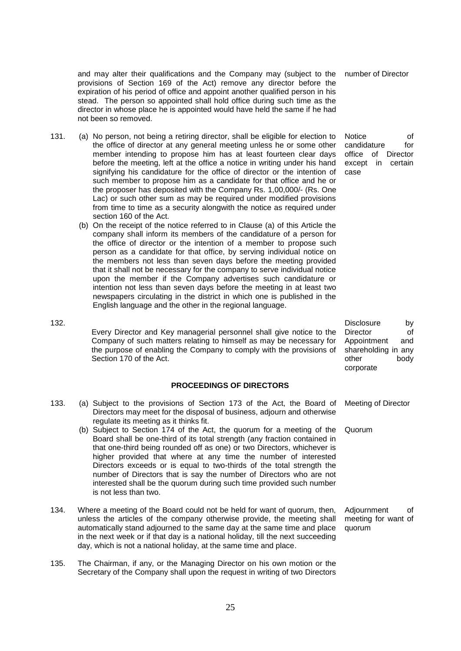and may alter their qualifications and the Company may (subject to the provisions of Section 169 of the Act) remove any director before the expiration of his period of office and appoint another qualified person in his stead. The person so appointed shall hold office during such time as the director in whose place he is appointed would have held the same if he had not been so removed.

- 131. (a) No person, not being a retiring director, shall be eligible for election to the office of director at any general meeting unless he or some other member intending to propose him has at least fourteen clear days before the meeting, left at the office a notice in writing under his hand signifying his candidature for the office of director or the intention of such member to propose him as a candidate for that office and he or the proposer has deposited with the Company Rs. 1,00,000/- (Rs. One Lac) or such other sum as may be required under modified provisions from time to time as a security alongwith the notice as required under section 160 of the Act.
	- (b) On the receipt of the notice referred to in Clause (a) of this Article the company shall inform its members of the candidature of a person for the office of director or the intention of a member to propose such person as a candidate for that office, by serving individual notice on the members not less than seven days before the meeting provided that it shall not be necessary for the company to serve individual notice upon the member if the Company advertises such candidature or intention not less than seven days before the meeting in at least two newspapers circulating in the district in which one is published in the English language and the other in the regional language.
- 132.

Every Director and Key managerial personnel shall give notice to the Company of such matters relating to himself as may be necessary for the purpose of enabling the Company to comply with the provisions of Section 170 of the Act.

### **PROCEEDINGS OF DIRECTORS**

- 133. (a) Subject to the provisions of Section 173 of the Act, the Board of Directors may meet for the disposal of business, adjourn and otherwise regulate its meeting as it thinks fit.
	- (b) Subject to Section 174 of the Act, the quorum for a meeting of the Board shall be one-third of its total strength (any fraction contained in that one-third being rounded off as one) or two Directors, whichever is higher provided that where at any time the number of interested Directors exceeds or is equal to two-thirds of the total strength the number of Directors that is say the number of Directors who are not interested shall be the quorum during such time provided such number is not less than two.
- 134. Where a meeting of the Board could not be held for want of quorum, then, unless the articles of the company otherwise provide, the meeting shall automatically stand adjourned to the same day at the same time and place in the next week or if that day is a national holiday, till the next succeeding day, which is not a national holiday, at the same time and place.
- 135. The Chairman, if any, or the Managing Director on his own motion or the Secretary of the Company shall upon the request in writing of two Directors

number of Director

Notice of candidature for office of Director except in certain case

Disclosure by Director of Appointment and shareholding in any other body corporate

Meeting of Director

Quorum

Adjournment of meeting for want of quorum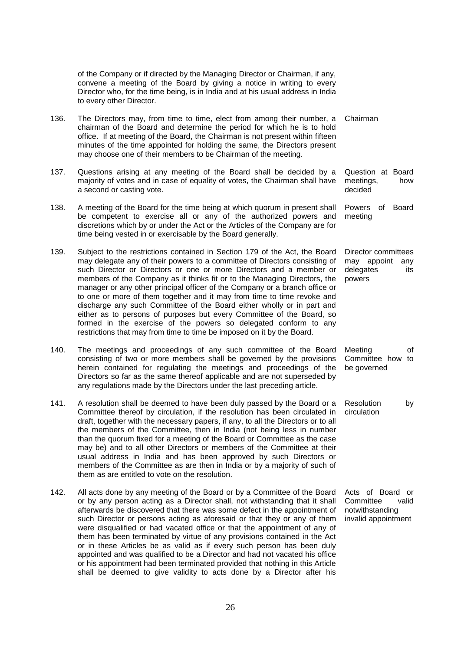|      | of the Company or if directed by the Managing Director or Chairman, if any,<br>convene a meeting of the Board by giving a notice in writing to every<br>Director who, for the time being, is in India and at his usual address in India<br>to every other Director.                                                                                                                                                                                                                                                                                                                                                                                                                                                                                                     |                                                                                  |
|------|-------------------------------------------------------------------------------------------------------------------------------------------------------------------------------------------------------------------------------------------------------------------------------------------------------------------------------------------------------------------------------------------------------------------------------------------------------------------------------------------------------------------------------------------------------------------------------------------------------------------------------------------------------------------------------------------------------------------------------------------------------------------------|----------------------------------------------------------------------------------|
| 136. | The Directors may, from time to time, elect from among their number, a<br>chairman of the Board and determine the period for which he is to hold<br>office. If at meeting of the Board, the Chairman is not present within fifteen<br>minutes of the time appointed for holding the same, the Directors present<br>may choose one of their members to be Chairman of the meeting.                                                                                                                                                                                                                                                                                                                                                                                       | Chairman                                                                         |
| 137. | Questions arising at any meeting of the Board shall be decided by a<br>majority of votes and in case of equality of votes, the Chairman shall have<br>a second or casting vote.                                                                                                                                                                                                                                                                                                                                                                                                                                                                                                                                                                                         | Question at Board<br>meetings,<br>how<br>decided                                 |
| 138. | A meeting of the Board for the time being at which quorum in present shall<br>be competent to exercise all or any of the authorized powers and<br>discretions which by or under the Act or the Articles of the Company are for<br>time being vested in or exercisable by the Board generally.                                                                                                                                                                                                                                                                                                                                                                                                                                                                           | Powers<br>of<br>Board<br>meeting                                                 |
| 139. | Subject to the restrictions contained in Section 179 of the Act, the Board<br>may delegate any of their powers to a committee of Directors consisting of<br>such Director or Directors or one or more Directors and a member or<br>members of the Company as it thinks fit or to the Managing Directors, the<br>manager or any other principal officer of the Company or a branch office or<br>to one or more of them together and it may from time to time revoke and<br>discharge any such Committee of the Board either wholly or in part and<br>either as to persons of purposes but every Committee of the Board, so<br>formed in the exercise of the powers so delegated conform to any<br>restrictions that may from time to time be imposed on it by the Board. | Director committees<br>may appoint<br>any<br>delegates<br>its<br>powers          |
| 140. | The meetings and proceedings of any such committee of the Board<br>consisting of two or more members shall be governed by the provisions<br>herein contained for regulating the meetings and proceedings of the<br>Directors so far as the same thereof applicable and are not superseded by<br>any regulations made by the Directors under the last preceding article.                                                                                                                                                                                                                                                                                                                                                                                                 | Meeting<br>of<br>Committee how to<br>be governed                                 |
| 141. | A resolution shall be deemed to have been duly passed by the Board or a<br>Committee thereof by circulation, if the resolution has been circulated in<br>draft, together with the necessary papers, if any, to all the Directors or to all<br>the members of the Committee, then in India (not being less in number<br>than the quorum fixed for a meeting of the Board or Committee as the case<br>may be) and to all other Directors or members of the Committee at their<br>usual address in India and has been approved by such Directors or<br>members of the Committee as are then in India or by a majority of such of<br>them as are entitled to vote on the resolution.                                                                                        | Resolution<br>by<br>circulation                                                  |
| 142. | All acts done by any meeting of the Board or by a Committee of the Board<br>or by any person acting as a Director shall, not withstanding that it shall<br>afterwards be discovered that there was some defect in the appointment of<br>such Director or persons acting as aforesaid or that they or any of them<br>were disqualified or had vacated office or that the appointment of any of<br>them has been terminated by virtue of any provisions contained in the Act<br>or in these Articles be as valid as if every such person has been duly<br>appointed and was qualified to be a Director and had not vacated his office<br>or his appointment had been terminated provided that nothing in this Article                                                     | Acts of Board or<br>Committee<br>valid<br>notwithstanding<br>invalid appointment |

shall be deemed to give validity to acts done by a Director after his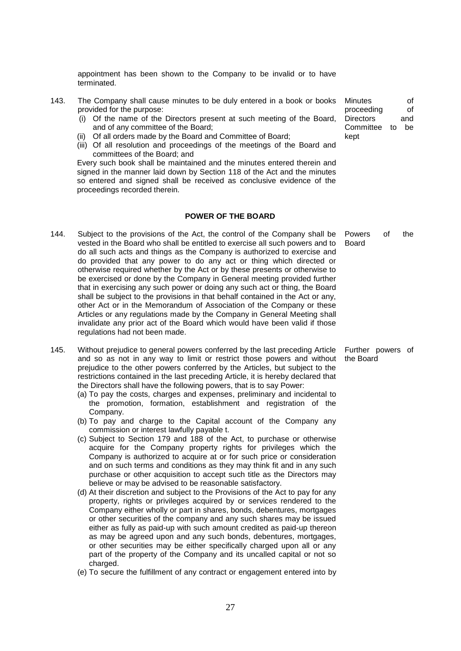appointment has been shown to the Company to be invalid or to have terminated.

- 143. The Company shall cause minutes to be duly entered in a book or books provided for the purpose:
	- (i) Of the name of the Directors present at such meeting of the Board, and of any committee of the Board;
	- (ii) Of all orders made by the Board and Committee of Board;
	- (iii) Of all resolution and proceedings of the meetings of the Board and committees of the Board; and

Every such book shall be maintained and the minutes entered therein and signed in the manner laid down by Section 118 of the Act and the minutes so entered and signed shall be received as conclusive evidence of the proceedings recorded therein.

# **POWER OF THE BOARD**

- 144. Subject to the provisions of the Act, the control of the Company shall be vested in the Board who shall be entitled to exercise all such powers and to do all such acts and things as the Company is authorized to exercise and do provided that any power to do any act or thing which directed or otherwise required whether by the Act or by these presents or otherwise to be exercised or done by the Company in General meeting provided further that in exercising any such power or doing any such act or thing, the Board shall be subject to the provisions in that behalf contained in the Act or any, other Act or in the Memorandum of Association of the Company or these Articles or any regulations made by the Company in General Meeting shall invalidate any prior act of the Board which would have been valid if those regulations had not been made.
- 145. Without prejudice to general powers conferred by the last preceding Article and so as not in any way to limit or restrict those powers and without prejudice to the other powers conferred by the Articles, but subject to the restrictions contained in the last preceding Article, it is hereby declared that the Directors shall have the following powers, that is to say Power:
	- (a) To pay the costs, charges and expenses, preliminary and incidental to the promotion, formation, establishment and registration of the Company.
	- (b) To pay and charge to the Capital account of the Company any commission or interest lawfully payable t.
	- (c) Subject to Section 179 and 188 of the Act, to purchase or otherwise acquire for the Company property rights for privileges which the Company is authorized to acquire at or for such price or consideration and on such terms and conditions as they may think fit and in any such purchase or other acquisition to accept such title as the Directors may believe or may be advised to be reasonable satisfactory.
	- (d) At their discretion and subject to the Provisions of the Act to pay for any property, rights or privileges acquired by or services rendered to the Company either wholly or part in shares, bonds, debentures, mortgages or other securities of the company and any such shares may be issued either as fully as paid-up with such amount credited as paid-up thereon as may be agreed upon and any such bonds, debentures, mortgages, or other securities may be either specifically charged upon all or any part of the property of the Company and its uncalled capital or not so charged.
	- (e) To secure the fulfillment of any contract or engagement entered into by

Minutes of proceeding of Directors and Committee to be kept

Powers of the Board

Further powers of the Board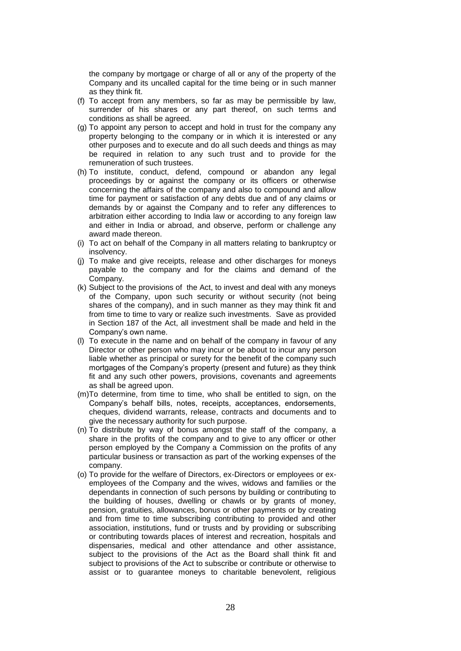the company by mortgage or charge of all or any of the property of the Company and its uncalled capital for the time being or in such manner as they think fit.

- (f) To accept from any members, so far as may be permissible by law, surrender of his shares or any part thereof, on such terms and conditions as shall be agreed.
- (g) To appoint any person to accept and hold in trust for the company any property belonging to the company or in which it is interested or any other purposes and to execute and do all such deeds and things as may be required in relation to any such trust and to provide for the remuneration of such trustees.
- (h) To institute, conduct, defend, compound or abandon any legal proceedings by or against the company or its officers or otherwise concerning the affairs of the company and also to compound and allow time for payment or satisfaction of any debts due and of any claims or demands by or against the Company and to refer any differences to arbitration either according to India law or according to any foreign law and either in India or abroad, and observe, perform or challenge any award made thereon.
- (i) To act on behalf of the Company in all matters relating to bankruptcy or insolvency.
- (j) To make and give receipts, release and other discharges for moneys payable to the company and for the claims and demand of the Company.
- (k) Subject to the provisions of the Act, to invest and deal with any moneys of the Company, upon such security or without security (not being shares of the company), and in such manner as they may think fit and from time to time to vary or realize such investments. Save as provided in Section 187 of the Act, all investment shall be made and held in the Company"s own name.
- (l) To execute in the name and on behalf of the company in favour of any Director or other person who may incur or be about to incur any person liable whether as principal or surety for the benefit of the company such mortgages of the Company"s property (present and future) as they think fit and any such other powers, provisions, covenants and agreements as shall be agreed upon.
- (m)To determine, from time to time, who shall be entitled to sign, on the Company"s behalf bills, notes, receipts, acceptances, endorsements, cheques, dividend warrants, release, contracts and documents and to give the necessary authority for such purpose.
- (n) To distribute by way of bonus amongst the staff of the company, a share in the profits of the company and to give to any officer or other person employed by the Company a Commission on the profits of any particular business or transaction as part of the working expenses of the company.
- (o) To provide for the welfare of Directors, ex-Directors or employees or exemployees of the Company and the wives, widows and families or the dependants in connection of such persons by building or contributing to the building of houses, dwelling or chawls or by grants of money, pension, gratuities, allowances, bonus or other payments or by creating and from time to time subscribing contributing to provided and other association, institutions, fund or trusts and by providing or subscribing or contributing towards places of interest and recreation, hospitals and dispensaries, medical and other attendance and other assistance, subject to the provisions of the Act as the Board shall think fit and subject to provisions of the Act to subscribe or contribute or otherwise to assist or to guarantee moneys to charitable benevolent, religious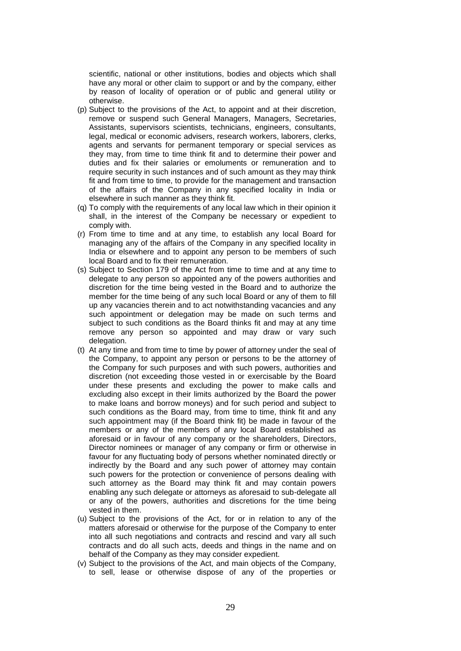scientific, national or other institutions, bodies and objects which shall have any moral or other claim to support or and by the company, either by reason of locality of operation or of public and general utility or otherwise.

- (p) Subject to the provisions of the Act, to appoint and at their discretion, remove or suspend such General Managers, Managers, Secretaries, Assistants, supervisors scientists, technicians, engineers, consultants, legal, medical or economic advisers, research workers, laborers, clerks, agents and servants for permanent temporary or special services as they may, from time to time think fit and to determine their power and duties and fix their salaries or emoluments or remuneration and to require security in such instances and of such amount as they may think fit and from time to time, to provide for the management and transaction of the affairs of the Company in any specified locality in India or elsewhere in such manner as they think fit.
- (q) To comply with the requirements of any local law which in their opinion it shall, in the interest of the Company be necessary or expedient to comply with.
- (r) From time to time and at any time, to establish any local Board for managing any of the affairs of the Company in any specified locality in India or elsewhere and to appoint any person to be members of such local Board and to fix their remuneration.
- (s) Subject to Section 179 of the Act from time to time and at any time to delegate to any person so appointed any of the powers authorities and discretion for the time being vested in the Board and to authorize the member for the time being of any such local Board or any of them to fill up any vacancies therein and to act notwithstanding vacancies and any such appointment or delegation may be made on such terms and subject to such conditions as the Board thinks fit and may at any time remove any person so appointed and may draw or vary such delegation.
- (t) At any time and from time to time by power of attorney under the seal of the Company, to appoint any person or persons to be the attorney of the Company for such purposes and with such powers, authorities and discretion (not exceeding those vested in or exercisable by the Board under these presents and excluding the power to make calls and excluding also except in their limits authorized by the Board the power to make loans and borrow moneys) and for such period and subject to such conditions as the Board may, from time to time, think fit and any such appointment may (if the Board think fit) be made in favour of the members or any of the members of any local Board established as aforesaid or in favour of any company or the shareholders, Directors, Director nominees or manager of any company or firm or otherwise in favour for any fluctuating body of persons whether nominated directly or indirectly by the Board and any such power of attorney may contain such powers for the protection or convenience of persons dealing with such attorney as the Board may think fit and may contain powers enabling any such delegate or attorneys as aforesaid to sub-delegate all or any of the powers, authorities and discretions for the time being vested in them.
- (u) Subject to the provisions of the Act, for or in relation to any of the matters aforesaid or otherwise for the purpose of the Company to enter into all such negotiations and contracts and rescind and vary all such contracts and do all such acts, deeds and things in the name and on behalf of the Company as they may consider expedient.
- (v) Subject to the provisions of the Act, and main objects of the Company, to sell, lease or otherwise dispose of any of the properties or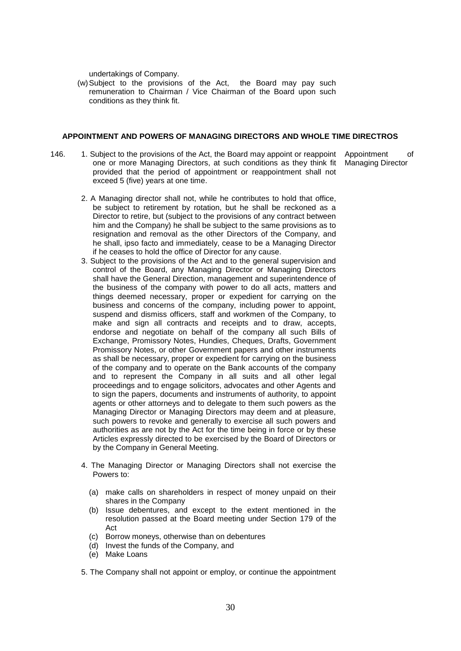undertakings of Company.

(w)Subject to the provisions of the Act, the Board may pay such remuneration to Chairman / Vice Chairman of the Board upon such conditions as they think fit.

#### **APPOINTMENT AND POWERS OF MANAGING DIRECTORS AND WHOLE TIME DIRECTROS**

- 146. 1. Subject to the provisions of the Act, the Board may appoint or reappoint one or more Managing Directors, at such conditions as they think fit provided that the period of appointment or reappointment shall not exceed 5 (five) years at one time.
- Appointment of Managing Director
	- 2. A Managing director shall not, while he contributes to hold that office, be subject to retirement by rotation, but he shall be reckoned as a Director to retire, but (subject to the provisions of any contract between him and the Company) he shall be subject to the same provisions as to resignation and removal as the other Directors of the Company, and he shall, ipso facto and immediately, cease to be a Managing Director if he ceases to hold the office of Director for any cause.
	- 3. Subject to the provisions of the Act and to the general supervision and control of the Board, any Managing Director or Managing Directors shall have the General Direction, management and superintendence of the business of the company with power to do all acts, matters and things deemed necessary, proper or expedient for carrying on the business and concerns of the company, including power to appoint, suspend and dismiss officers, staff and workmen of the Company, to make and sign all contracts and receipts and to draw, accepts, endorse and negotiate on behalf of the company all such Bills of Exchange, Promissory Notes, Hundies, Cheques, Drafts, Government Promissory Notes, or other Government papers and other instruments as shall be necessary, proper or expedient for carrying on the business of the company and to operate on the Bank accounts of the company and to represent the Company in all suits and all other legal proceedings and to engage solicitors, advocates and other Agents and to sign the papers, documents and instruments of authority, to appoint agents or other attorneys and to delegate to them such powers as the Managing Director or Managing Directors may deem and at pleasure, such powers to revoke and generally to exercise all such powers and authorities as are not by the Act for the time being in force or by these Articles expressly directed to be exercised by the Board of Directors or by the Company in General Meeting.
	- 4. The Managing Director or Managing Directors shall not exercise the Powers to:
		- (a) make calls on shareholders in respect of money unpaid on their shares in the Company
		- (b) Issue debentures, and except to the extent mentioned in the resolution passed at the Board meeting under Section 179 of the Act
		- (c) Borrow moneys, otherwise than on debentures
		- (d) Invest the funds of the Company, and
		- (e) Make Loans
	- 5. The Company shall not appoint or employ, or continue the appointment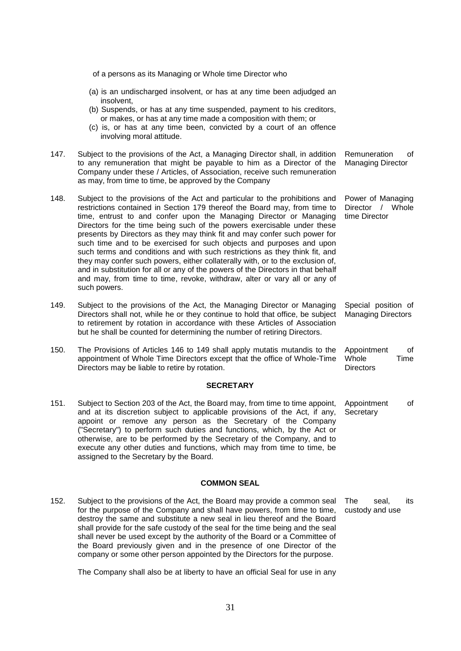of a persons as its Managing or Whole time Director who (a) is an undischarged insolvent, or has at any time been adjudged an insolvent, (b) Suspends, or has at any time suspended, payment to his creditors, or makes, or has at any time made a composition with them; or (c) is, or has at any time been, convicted by a court of an offence involving moral attitude. 147. Subject to the provisions of the Act, a Managing Director shall, in addition to any remuneration that might be payable to him as a Director of the Company under these / Articles, of Association, receive such remuneration as may, from time to time, be approved by the Company Remuneration of Managing Director 148. Subject to the provisions of the Act and particular to the prohibitions and restrictions contained in Section 179 thereof the Board may, from time to time, entrust to and confer upon the Managing Director or Managing Directors for the time being such of the powers exercisable under these presents by Directors as they may think fit and may confer such power for such time and to be exercised for such objects and purposes and upon such terms and conditions and with such restrictions as they think fit, and they may confer such powers, either collaterally with, or to the exclusion of, and in substitution for all or any of the powers of the Directors in that behalf and may, from time to time, revoke, withdraw, alter or vary all or any of such powers. Power of Managing Director / Whole time Director 149. Subject to the provisions of the Act, the Managing Director or Managing Directors shall not, while he or they continue to hold that office, be subject to retirement by rotation in accordance with these Articles of Association but he shall be counted for determining the number of retiring Directors. Special position of Managing Directors 150. The Provisions of Articles 146 to 149 shall apply mutatis mutandis to the appointment of Whole Time Directors except that the office of Whole-Time Directors may be liable to retire by rotation. Appointment of Whole **Time Directors SECRETARY** 151. Subject to Section 203 of the Act, the Board may, from time to time appoint, and at its discretion subject to applicable provisions of the Act, if any, appoint or remove any person as the Secretary of the Company ("Secretary") to perform such duties and functions, which, by the Act or otherwise, are to be performed by the Secretary of the Company, and to execute any other duties and functions, which may from time to time, be assigned to the Secretary by the Board. Appointment of **Secretary COMMON SEAL** 152. Subject to the provisions of the Act, the Board may provide a common seal for the purpose of the Company and shall have powers, from time to time, destroy the same and substitute a new seal in lieu thereof and the Board shall provide for the safe custody of the seal for the time being and the seal The seal, its custody and use

The Company shall also be at liberty to have an official Seal for use in any

shall never be used except by the authority of the Board or a Committee of the Board previously given and in the presence of one Director of the company or some other person appointed by the Directors for the purpose.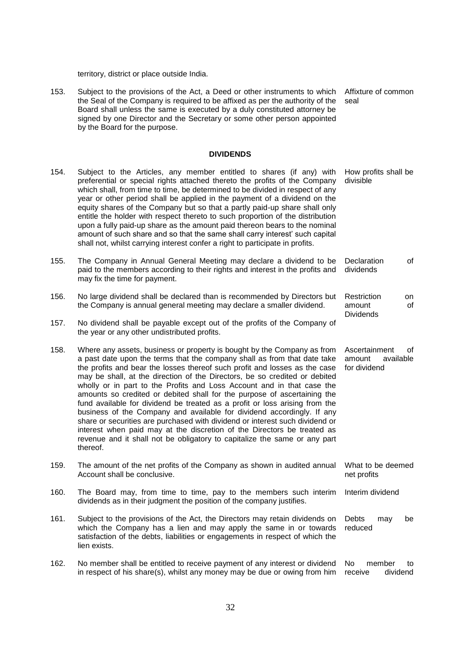territory, district or place outside India.

153. Subject to the provisions of the Act, a Deed or other instruments to which the Seal of the Company is required to be affixed as per the authority of the Board shall unless the same is executed by a duly constituted attorney be signed by one Director and the Secretary or some other person appointed by the Board for the purpose. Affixture of common seal

#### **DIVIDENDS**

| 154. | Subject to the Articles, any member entitled to shares (if any) with<br>preferential or special rights attached thereto the profits of the Company<br>which shall, from time to time, be determined to be divided in respect of any<br>year or other period shall be applied in the payment of a dividend on the<br>equity shares of the Company but so that a partly paid-up share shall only<br>entitle the holder with respect thereto to such proportion of the distribution<br>upon a fully paid-up share as the amount paid thereon bears to the nominal<br>amount of such share and so that the same shall carry interest' such capital<br>shall not, whilst carrying interest confer a right to participate in profits.                                                                                                                                                    | How profits shall be<br>divisible                          |
|------|------------------------------------------------------------------------------------------------------------------------------------------------------------------------------------------------------------------------------------------------------------------------------------------------------------------------------------------------------------------------------------------------------------------------------------------------------------------------------------------------------------------------------------------------------------------------------------------------------------------------------------------------------------------------------------------------------------------------------------------------------------------------------------------------------------------------------------------------------------------------------------|------------------------------------------------------------|
| 155. | The Company in Annual General Meeting may declare a dividend to be<br>paid to the members according to their rights and interest in the profits and<br>may fix the time for payment.                                                                                                                                                                                                                                                                                                                                                                                                                                                                                                                                                                                                                                                                                               | Declaration<br>of<br>dividends                             |
| 156. | No large dividend shall be declared than is recommended by Directors but<br>the Company is annual general meeting may declare a smaller dividend.                                                                                                                                                                                                                                                                                                                                                                                                                                                                                                                                                                                                                                                                                                                                  | Restriction<br>on<br>of<br>amount<br><b>Dividends</b>      |
| 157. | No dividend shall be payable except out of the profits of the Company of<br>the year or any other undistributed profits.                                                                                                                                                                                                                                                                                                                                                                                                                                                                                                                                                                                                                                                                                                                                                           |                                                            |
| 158. | Where any assets, business or property is bought by the Company as from<br>a past date upon the terms that the company shall as from that date take<br>the profits and bear the losses thereof such profit and losses as the case<br>may be shall, at the direction of the Directors, be so credited or debited<br>wholly or in part to the Profits and Loss Account and in that case the<br>amounts so credited or debited shall for the purpose of ascertaining the<br>fund available for dividend be treated as a profit or loss arising from the<br>business of the Company and available for dividend accordingly. If any<br>share or securities are purchased with dividend or interest such dividend or<br>interest when paid may at the discretion of the Directors be treated as<br>revenue and it shall not be obligatory to capitalize the same or any part<br>thereof. | Ascertainment<br>οf<br>amount<br>available<br>for dividend |
| 159. | The amount of the net profits of the Company as shown in audited annual<br>Account shall be conclusive.                                                                                                                                                                                                                                                                                                                                                                                                                                                                                                                                                                                                                                                                                                                                                                            | What to be deemed<br>net profits                           |
| 160. | The Board may, from time to time, pay to the members such interim<br>dividends as in their judgment the position of the company justifies.                                                                                                                                                                                                                                                                                                                                                                                                                                                                                                                                                                                                                                                                                                                                         | Interim dividend                                           |
| 161. | Subject to the provisions of the Act, the Directors may retain dividends on<br>which the Company has a lien and may apply the same in or towards<br>satisfaction of the debts, liabilities or engagements in respect of which the<br>lien exists.                                                                                                                                                                                                                                                                                                                                                                                                                                                                                                                                                                                                                                  | Debts<br>may<br>be<br>reduced                              |
| 162. | No member shall be entitled to receive payment of any interest or dividend<br>in respect of his share(s), whilst any money may be due or owing from him                                                                                                                                                                                                                                                                                                                                                                                                                                                                                                                                                                                                                                                                                                                            | No<br>member<br>to<br>dividend<br>receive                  |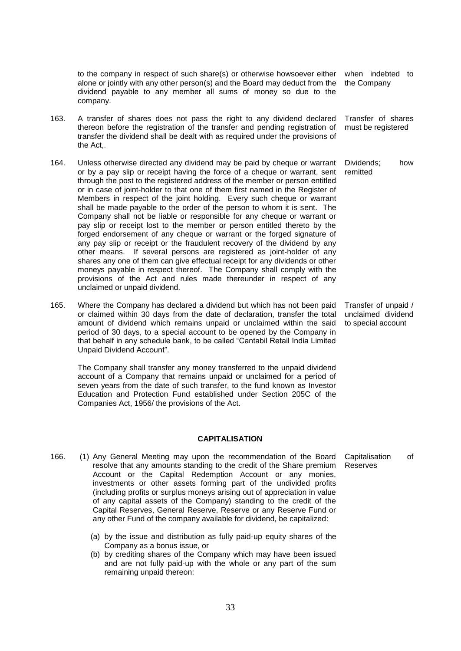to the company in respect of such share(s) or otherwise howsoever either alone or jointly with any other person(s) and the Board may deduct from the dividend payable to any member all sums of money so due to the company. when indebted to the Company

- 163. A transfer of shares does not pass the right to any dividend declared thereon before the registration of the transfer and pending registration of transfer the dividend shall be dealt with as required under the provisions of the Act,. Transfer of shares must be registered
- 164. Unless otherwise directed any dividend may be paid by cheque or warrant or by a pay slip or receipt having the force of a cheque or warrant, sent through the post to the registered address of the member or person entitled or in case of joint-holder to that one of them first named in the Register of Members in respect of the joint holding. Every such cheque or warrant shall be made payable to the order of the person to whom it is sent. The Company shall not be liable or responsible for any cheque or warrant or pay slip or receipt lost to the member or person entitled thereto by the forged endorsement of any cheque or warrant or the forged signature of any pay slip or receipt or the fraudulent recovery of the dividend by any other means. If several persons are registered as joint-holder of any shares any one of them can give effectual receipt for any dividends or other moneys payable in respect thereof. The Company shall comply with the provisions of the Act and rules made thereunder in respect of any unclaimed or unpaid dividend. Dividends; how remitted
- 165. Where the Company has declared a dividend but which has not been paid or claimed within 30 days from the date of declaration, transfer the total amount of dividend which remains unpaid or unclaimed within the said period of 30 days, to a special account to be opened by the Company in that behalf in any schedule bank, to be called "Cantabil Retail India Limited Unpaid Dividend Account".

The Company shall transfer any money transferred to the unpaid dividend account of a Company that remains unpaid or unclaimed for a period of seven years from the date of such transfer, to the fund known as Investor Education and Protection Fund established under Section 205C of the Companies Act, 1956/ the provisions of the Act.

### **CAPITALISATION**

- 166. (1) Any General Meeting may upon the recommendation of the Board resolve that any amounts standing to the credit of the Share premium Account or the Capital Redemption Account or any monies, investments or other assets forming part of the undivided profits (including profits or surplus moneys arising out of appreciation in value of any capital assets of the Company) standing to the credit of the Capital Reserves, General Reserve, Reserve or any Reserve Fund or any other Fund of the company available for dividend, be capitalized:
	- (a) by the issue and distribution as fully paid-up equity shares of the Company as a bonus issue, or
	- (b) by crediting shares of the Company which may have been issued and are not fully paid-up with the whole or any part of the sum remaining unpaid thereon:

Transfer of unpaid / unclaimed dividend to special account

Capitalisation of Reserves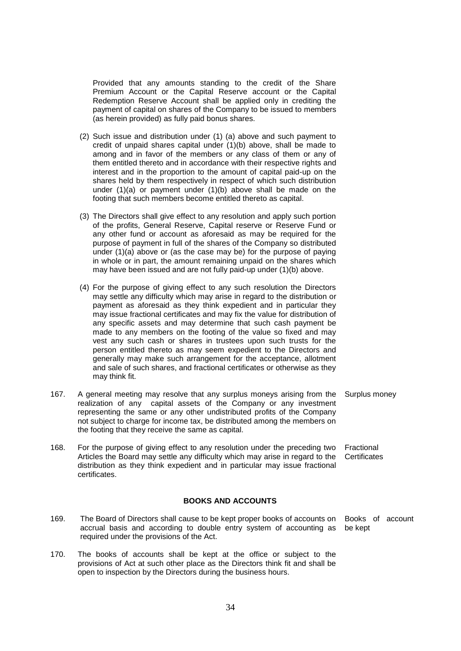Provided that any amounts standing to the credit of the Share Premium Account or the Capital Reserve account or the Capital Redemption Reserve Account shall be applied only in crediting the payment of capital on shares of the Company to be issued to members (as herein provided) as fully paid bonus shares.

- (2) Such issue and distribution under (1) (a) above and such payment to credit of unpaid shares capital under (1)(b) above, shall be made to among and in favor of the members or any class of them or any of them entitled thereto and in accordance with their respective rights and interest and in the proportion to the amount of capital paid-up on the shares held by them respectively in respect of which such distribution under (1)(a) or payment under (1)(b) above shall be made on the footing that such members become entitled thereto as capital.
- (3) The Directors shall give effect to any resolution and apply such portion of the profits, General Reserve, Capital reserve or Reserve Fund or any other fund or account as aforesaid as may be required for the purpose of payment in full of the shares of the Company so distributed under (1)(a) above or (as the case may be) for the purpose of paying in whole or in part, the amount remaining unpaid on the shares which may have been issued and are not fully paid-up under (1)(b) above.
- (4) For the purpose of giving effect to any such resolution the Directors may settle any difficulty which may arise in regard to the distribution or payment as aforesaid as they think expedient and in particular they may issue fractional certificates and may fix the value for distribution of any specific assets and may determine that such cash payment be made to any members on the footing of the value so fixed and may vest any such cash or shares in trustees upon such trusts for the person entitled thereto as may seem expedient to the Directors and generally may make such arrangement for the acceptance, allotment and sale of such shares, and fractional certificates or otherwise as they may think fit.
- 167. A general meeting may resolve that any surplus moneys arising from the realization of any capital assets of the Company or any investment representing the same or any other undistributed profits of the Company not subject to charge for income tax, be distributed among the members on the footing that they receive the same as capital.
- 168. For the purpose of giving effect to any resolution under the preceding two Articles the Board may settle any difficulty which may arise in regard to the distribution as they think expedient and in particular may issue fractional certificates.

#### **BOOKS AND ACCOUNTS**

- 169. The Board of Directors shall cause to be kept proper books of accounts on accrual basis and according to double entry system of accounting as required under the provisions of the Act.
- 170. The books of accounts shall be kept at the office or subject to the provisions of Act at such other place as the Directors think fit and shall be open to inspection by the Directors during the business hours.

Surplus money

Fractional **Certificates** 

Books of account be kept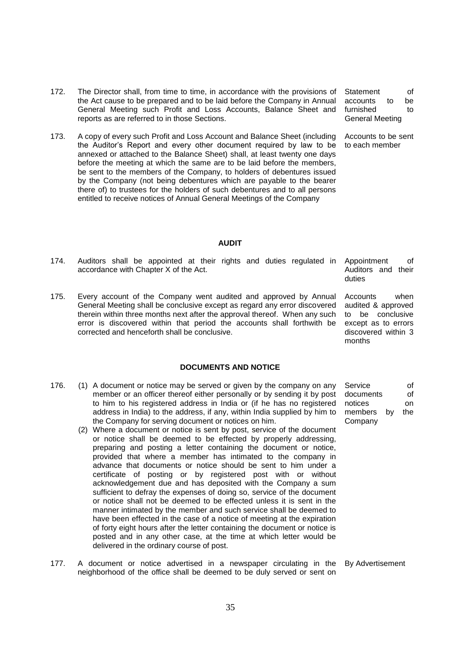- 172. The Director shall, from time to time, in accordance with the provisions of the Act cause to be prepared and to be laid before the Company in Annual General Meeting such Profit and Loss Accounts, Balance Sheet and reports as are referred to in those Sections.
- 173. A copy of every such Profit and Loss Account and Balance Sheet (including the Auditor"s Report and every other document required by law to be annexed or attached to the Balance Sheet) shall, at least twenty one days before the meeting at which the same are to be laid before the members, be sent to the members of the Company, to holders of debentures issued by the Company (not being debentures which are payable to the bearer there of) to trustees for the holders of such debentures and to all persons entitled to receive notices of Annual General Meetings of the Company

Statement of accounts to be furnished to General Meeting

Accounts to be sent to each member

Appointment of Auditors and their

Accounts when audited & approved to be conclusive except as to errors discovered within 3

duties

months

#### **AUDIT**

- 174. Auditors shall be appointed at their rights and duties regulated in accordance with Chapter X of the Act.
- 175. Every account of the Company went audited and approved by Annual General Meeting shall be conclusive except as regard any error discovered therein within three months next after the approval thereof. When any such error is discovered within that period the accounts shall forthwith be corrected and henceforth shall be conclusive.

#### **DOCUMENTS AND NOTICE**

- 176. (1) A document or notice may be served or given by the company on any member or an officer thereof either personally or by sending it by post to him to his registered address in India or (if he has no registered address in India) to the address, if any, within India supplied by him to the Company for serving document or notices on him.
	- (2) Where a document or notice is sent by post, service of the document or notice shall be deemed to be effected by properly addressing, preparing and posting a letter containing the document or notice, provided that where a member has intimated to the company in advance that documents or notice should be sent to him under a certificate of posting or by registered post with or without acknowledgement due and has deposited with the Company a sum sufficient to defray the expenses of doing so, service of the document or notice shall not be deemed to be effected unless it is sent in the manner intimated by the member and such service shall be deemed to have been effected in the case of a notice of meeting at the expiration of forty eight hours after the letter containing the document or notice is posted and in any other case, at the time at which letter would be delivered in the ordinary course of post.
- 177. A document or notice advertised in a newspaper circulating in the neighborhood of the office shall be deemed to be duly served or sent on By Advertisement

Service of documents of notices on members by the Company

35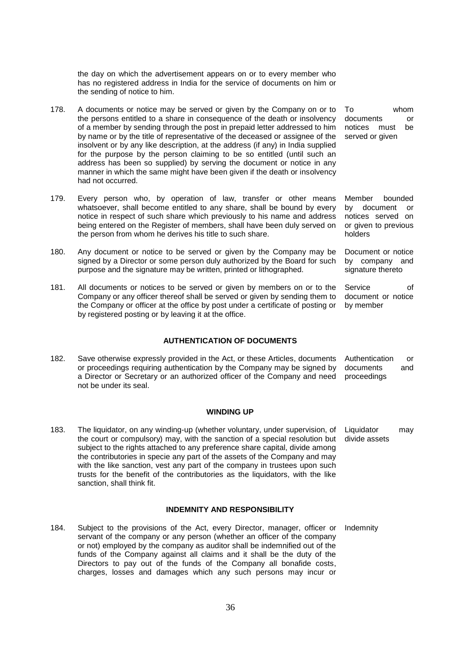the day on which the advertisement appears on or to every member who has no registered address in India for the service of documents on him or the sending of notice to him.

- 178. A documents or notice may be served or given by the Company on or to the persons entitled to a share in consequence of the death or insolvency of a member by sending through the post in prepaid letter addressed to him by name or by the title of representative of the deceased or assignee of the insolvent or by any like description, at the address (if any) in India supplied for the purpose by the person claiming to be so entitled (until such an address has been so supplied) by serving the document or notice in any manner in which the same might have been given if the death or insolvency had not occurred.
- 179. Every person who, by operation of law, transfer or other means whatsoever, shall become entitled to any share, shall be bound by every notice in respect of such share which previously to his name and address being entered on the Register of members, shall have been duly served on the person from whom he derives his title to such share.
- 180. Any document or notice to be served or given by the Company may be signed by a Director or some person duly authorized by the Board for such purpose and the signature may be written, printed or lithographed.
- 181. All documents or notices to be served or given by members on or to the Company or any officer thereof shall be served or given by sending them to the Company or officer at the office by post under a certificate of posting or by registered posting or by leaving it at the office.

# **AUTHENTICATION OF DOCUMENTS**

182. Save otherwise expressly provided in the Act, or these Articles, documents or proceedings requiring authentication by the Company may be signed by a Director or Secretary or an authorized officer of the Company and need not be under its seal. Authentication or documents and proceedings

#### **WINDING UP**

183. The liquidator, on any winding-up (whether voluntary, under supervision, of the court or compulsory) may, with the sanction of a special resolution but subject to the rights attached to any preference share capital, divide among the contributories in specie any part of the assets of the Company and may with the like sanction, vest any part of the company in trustees upon such trusts for the benefit of the contributories as the liquidators, with the like sanction, shall think fit. Liquidator may divide assets

#### **INDEMNITY AND RESPONSIBILITY**

184. Subject to the provisions of the Act, every Director, manager, officer or servant of the company or any person (whether an officer of the company or not) employed by the company as auditor shall be indemnified out of the funds of the Company against all claims and it shall be the duty of the Directors to pay out of the funds of the Company all bonafide costs, charges, losses and damages which any such persons may incur or

To whom documents or notices must be served or given

Member bounded by document or notices served on or given to previous holders

Document or notice by company and signature thereto

Service of document or notice by member

Indemnity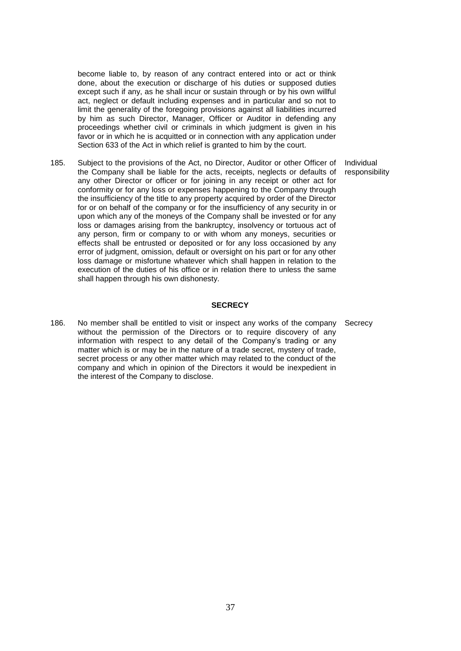become liable to, by reason of any contract entered into or act or think done, about the execution or discharge of his duties or supposed duties except such if any, as he shall incur or sustain through or by his own willful act, neglect or default including expenses and in particular and so not to limit the generality of the foregoing provisions against all liabilities incurred by him as such Director, Manager, Officer or Auditor in defending any proceedings whether civil or criminals in which judgment is given in his favor or in which he is acquitted or in connection with any application under Section 633 of the Act in which relief is granted to him by the court.

185. Subject to the provisions of the Act, no Director, Auditor or other Officer of the Company shall be liable for the acts, receipts, neglects or defaults of any other Director or officer or for joining in any receipt or other act for conformity or for any loss or expenses happening to the Company through the insufficiency of the title to any property acquired by order of the Director for or on behalf of the company or for the insufficiency of any security in or upon which any of the moneys of the Company shall be invested or for any loss or damages arising from the bankruptcy, insolvency or tortuous act of any person, firm or company to or with whom any moneys, securities or effects shall be entrusted or deposited or for any loss occasioned by any error of judgment, omission, default or oversight on his part or for any other loss damage or misfortune whatever which shall happen in relation to the execution of the duties of his office or in relation there to unless the same shall happen through his own dishonesty.

#### **SECRECY**

186. No member shall be entitled to visit or inspect any works of the company without the permission of the Directors or to require discovery of any information with respect to any detail of the Company's trading or any matter which is or may be in the nature of a trade secret, mystery of trade, secret process or any other matter which may related to the conduct of the company and which in opinion of the Directors it would be inexpedient in the interest of the Company to disclose.

Individual responsibility

**Secrecy**